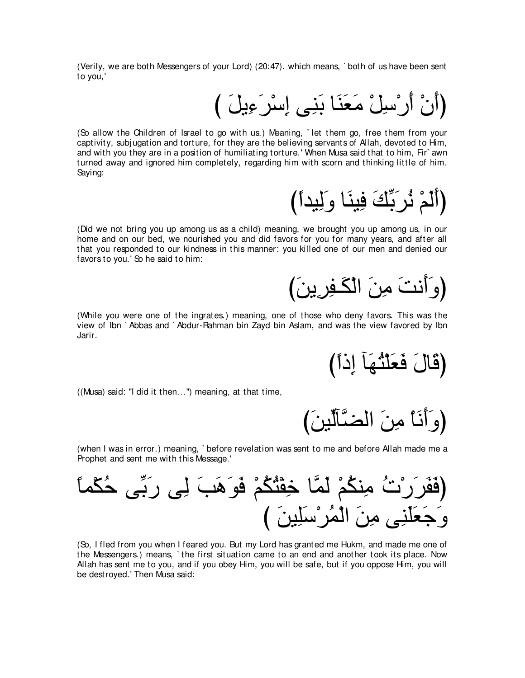(Verily, we are both Messengers of your Lord) (20:47). which means, ` both of us have been sent to you,'

# (أَنْ أَرْسِلْ مَعَنَا بَنِي إِسْرَءِيلَ )

(So allow the Children of Israel to go with us.) Meaning, ` let them go, free them from your captivity, subj ugation and torture, for they are the believing servants of Allah, devoted to Him, and with you they are in a position of humiliating torture.' When Musa said that to him, Fir` awn turned away and ignored him completely, regarding him with scorn and thinking little of him. Saying:

(أَلَمْ ذُرَبِّكَ فِينَا وَلِيداً)

(Did we not bring you up among us as a child) meaning, we brought you up among us, in our home and on our bed, we nourished you and did favors for you for many years, and after all that you responded to our kindness in this manner: you killed one of our men and denied our favors to you.' So he said to him:

(و َأَنتَ مِنَ الْكَـفِرِينَ)

(While you were one of the ingrates.) meaning, one of those who deny favors. This was the view of Ibn ` Abbas and ` Abdur-Rahman bin Zayd bin Aslam, and was the view favored by Ibn Jarir.

(قَالَ فَعَلَثُهَا إِذَاً)

((Musa) said: "I did it then...'') meaning, at that time,

(وَ أَنَا مِنَ الضَّأَلَّينَ)

(when I was in error.) meaning, ` before revelation was sent to me and before Allah made me a Prophet and sent me with this Message.'

⇔ゅヨ∇ム⊥ェ ヴあよ∠ケ ヴ⌒ャ ∠ょ∠ワ∠ヲ∠プ ∇ユ⊥ム⊥わ∇ヘ⌒カ ゅzヨ∠ャ ∇ユ⊥ムレ⌒ョ ⊥れ∇ケ∠ゲ∠ヘ∠プぴ び ∠リΒ⌒ヤ∠シ∇ゲ⊥ヨ∇ャや ∠リ⌒ョ ヴ⌒レ∠ヤ∠バ∠ィ∠ヱ

(So, I fled from you when I feared you. But my Lord has granted me Hukm, and made me one of the Messengers.) means, ` the first situation came to an end and another took its place. Now Allah has sent me to you, and if you obey Him, you will be safe, but if you oppose Him, you will be destroyed.' Then Musa said: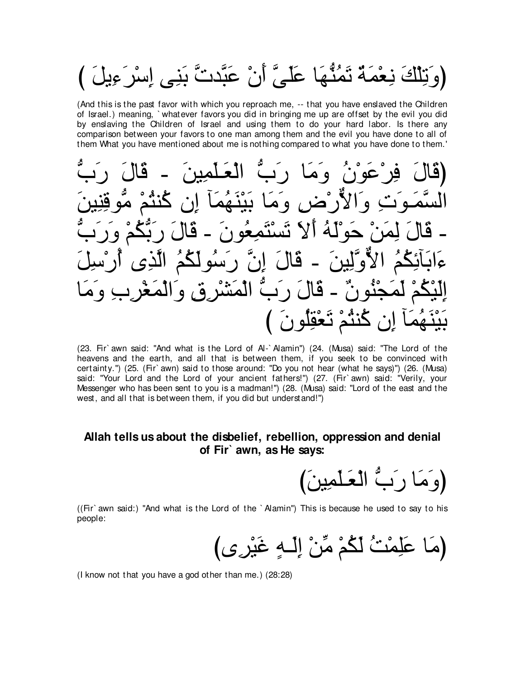(وَتِلْكَ نِعْمَةٌ نَمُنُّهَا عَلَىَّ أَنْ عَبَّدتَّ بَنِي إِسْرَءِيلَ )

(And this is the past favor with which you reproach me, -- that you have enslaved the Children of Israel.) meaning, `whatever favors you did in bringing me up are offset by the evil you did by enslaving the Children of Israel and using them to do your hard labor. Is there any comparison between your favors to one man among them and the evil you have done to all of them What you have mentioned about me is nothing compared to what you have done to them.'

| (قَالَ فِرْعَوْنُ وَمَا رَبُّ الْعَلْمِينَ ـ قَالَ رَبُّ              |  |                                        |  |
|-----------------------------------------------------------------------|--|----------------------------------------|--|
| السَّمَوَتِ وَالأَرْضِ وَمَا بَيْنَهُمَآ إِن كُنتُمْ مُّوقِنِينَ      |  |                                        |  |
| ـ قَالَ لِمَنْ حَوْلَهُ أَلاَ تَسْتَمِعُونَ ـ قَالَ رَبَّكُمْ وَرَبَّ |  |                                        |  |
| ءَابَأَنِكُمُ الأَوَّلِينَ ـ قَالَ إِنَّ رَسُولَكُمُ الَّذِى أَرْسِلَ |  |                                        |  |
| إِلَيْكُمْ لَمَجْنُونٌ - قَالَ رَبَّ الْمَشْرِقِ وَالْمَغْرِبِ وَمَا  |  |                                        |  |
|                                                                       |  | بَيْنَهُمَاً إِن كُنثُمْ تَعْقِلُونَ ) |  |

(23. Fir`awn said: "And what is the Lord of Al-`Alamin") (24. (Musa) said: "The Lord of the heavens and the earth, and all that is between them, if you seek to be convinced with certainty.") (25. (Fir`awn) said to those around: "Do you not hear (what he says)") (26. (Musa) said: "Your Lord and the Lord of your ancient fathers!") (27. (Fir`awn) said: "Verily, your Messenger who has been sent to you is a madman!") (28. (Musa) said: "Lord of the east and the west, and all that is between them, if you did but understand!")

## Allah tells us about the disbelief, rebellion, oppression and denial of Fir` awn, as He says:

(وَمَا رَبُّ الْعَلَّمِينَ)

((Fir`awn said:) "And what is the Lord of the `Alamin") This is because he used to say to his people:

(I know not that you have a god other than me.) (28:28)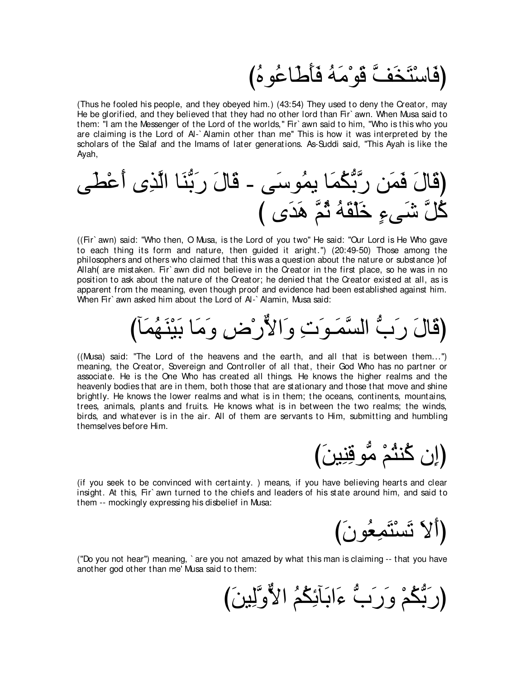# (فَاسْتَخَفَّ قَو<sup>ْ</sup>مَهُ فَأَطَاعُوهُ)

(Thus he fooled his people, and they obeyed him.) (43:54) They used to deny the Creator, may He be glorified, and they believed that they had no other lord than Fir` awn. When Musa said to them: "I am the Messenger of the Lord of the worlds,'' Fir` awn said to him, "Who is this who you are claiming is the Lord of Al-` Alamin other than me'' This is how it was interpreted by the scholars of the Salaf and the Imams of later generations. As-Suddi said, "This Ayah is like the Ayah,

ヴ∠ト∇ハ∠ぺ ン⌒グzャや ゅ∠レぁよ∠ケ ∠メゅ∠ホ - ヴ∠シヲ⊥ヨΑ ゅ∠ヨ⊥ムぁよzケ リ∠ヨ∠プ ∠メゅ∠ホぴ び ン∠ギ∠ワ zユ⊥を ⊥ヮ∠ボ∇ヤ∠カ ∃¬ヴ∠セ zモ⊥ミ

((Fir` awn) said: "Who then, O Musa, is the Lord of you two'' He said: "Our Lord is He Who gave to each thing its form and nature, then guided it aright.'') (20:49-50) Those among the philosophers and others who claimed that this was a question about the nature or substance of Allah (are mistaken. Fir` awn did not believe in the Creator in the first place, so he was in no position to ask about the nature of the Creator; he denied that the Creator existed at all, as is apparent from the meaning, even though proof and evidence had been established against him. When Fir` awn asked him about the Lord of Al-` Alamin, Musa said:

びべ∠ヨ⊥ヰ∠レ∇Β∠よ ゅ∠ョ∠ヱ ⌒チ∇ケxΙや∠ヱ ⌒れ∠ヲ⇒∠ヨzジャや ぁゆ∠ケ ∠メゅ∠ホぴ

((Musa) said: "The Lord of the heavens and the earth, and all that is between them...'') meaning, the Creator, Sovereign and Controller of all that, their God Who has no partner or associate. He is the One Who has created all things. He knows the higher realms and the heavenly bodies that are in them, both those that are stationary and those that move and shine brightly. He knows the lower realms and what is in them; the oceans, continents, mountains, trees, animals, plants and fruits. He knows what is in between the two realms; the winds, birds, and whatever is in the air. All of them are servants to Him, submitting and humbling themselves before Him.

(إن كُنثُمْ مُّوقِنِينَ)

(if you seek to be convinced with certainty. ) means, if you have believing hearts and clear insight. At this, Fir` awn turned to the chiefs and leaders of his state around him, and said to them -- mockingly expressing his disbelief in Musa:

(ألا تَسْتَمِعُونَ)

("Do you not hear'') meaning, ` are you not amazed by what this man is claiming -- that you have another god other than me' Musa said to them:

(رَبُّكُمْ وَرَبُّ ءَابَأَنِكُمُ الأُوَّلِينَ)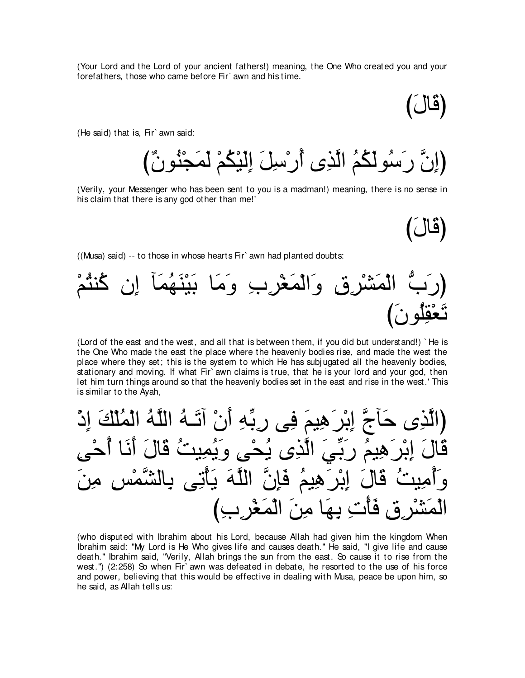(Your Lord and the Lord of your ancient fathers!) meaning, the One Who created you and your forefathers, those who came before Fir` awn and his time.

び∠メゅ∠ホぴ

(He said) that is, Fir` awn said:

{إِنَّ رَسُولُكُمُ الَّذِي أَرْسِلَ إِلَيْكُمْ لَمَجْنُونٌ)

(Verily, your Messenger who has been sent to you is a madman!) meaning, there is no sense in his claim that there is any god other than me!'

び∠メゅ∠ホぴ

((Musa) said) -- to those in whose hearts Fir` awn had planted doubts:



(Lord of the east and the west, and all that is between them, if you did but understand!) ` He is the One Who made the east the place where the heavenly bodies rise, and made the west the place where they set; this is the system to which He has subj ugated all the heavenly bodies, stationary and moving. If what Fir` awn claims is true, that he is your lord and your god, then let him turn things around so that the heavenly bodies set in the east and rise in the west.' This is similar to the Ayah,

إِبْرِ هِيمَ فِي رِبِّهِ أَنْ أَتَـهُ اللَّهُ الْمُلْكَ ادْ ِهِيمُ رِبِّيَ الَّذِي يُحْيِ وَيُمِيتُ قَ قَالَ اِبْر َهِيمُ فَإِنَّ اللَّهَ بِأَنِّي بِا قِ فَأْتِ بِهَا مِنَ الْمَغْرِبِ)

(who disputed with Ibrahim about his Lord, because Allah had given him the kingdom When Ibrahim said: "My Lord is He Who gives life and causes death.'' He said, "I give life and cause death.'' Ibrahim said, "Verily, Allah brings the sun from the east. So cause it to rise from the west.'') (2:258) So when Fir` awn was defeated in debate, he resorted to the use of his force and power, believing that this would be effective in dealing with Musa, peace be upon him, so he said, as Allah tells us: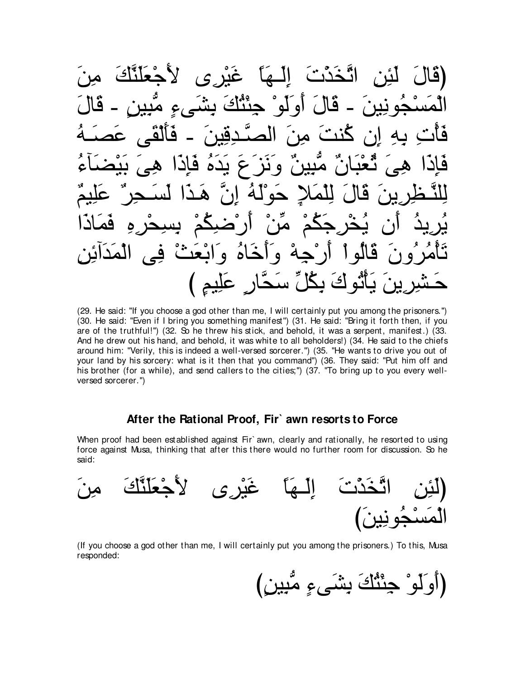$\mathbf{\hat{L}}^{\ast}$ اتْخَدْتَ إِلَيْهَا غَيْرِي لِأَجْعَلَنَّكَ (قاا ۔ قَالَ أُولُو ْ جِئَنُّكَ بِشَيءٍ مَبِين حَو نبن َ  $\hat{\bullet}$  $\mathbf{r}$  $(19)$  $\bullet$  $\bullet$  $\overline{\mathcal{F}}$  $\zeta$  $\bullet$ حولة ان  $\blacktriangle$ گہ  $\ddot{\phantom{a}}$ ما ار ض وَأَخَاهُ وَابْعَثْ فِي الْمَدَائِهِ  $\ddot{a}$  $\ddot{\bullet}$ لە يَأْتُو كَ بِكُلِّ سَحَّارٍ عَلِيمٍ )

(29. He said: "If you choose a god other than me, I will certainly put you among the prisoners.") (30. He said: "Even if I bring you something manifest") (31. He said: "Bring it forth then, if you are of the truthful!") (32. So he threw his stick, and behold, it was a serpent, manifest.) (33. And he drew out his hand, and behold, it was white to all beholders!) (34. He said to the chiefs around him: "Verily, this is indeed a well-versed sorcerer.") (35. "He wants to drive you out of your land by his sorcery: what is it then that you command") (36. They said: "Put him off and his brother (for a while), and send callers to the cities;") (37. "To bring up to you every wellversed sorcerer.")

# After the Rational Proof, Fir` awn resorts to Force

When proof had been established against Fir' awn, clearly and rationally, he resorted to using force against Musa, thinking that after this there would no further room for discussion. So he said:



(If you choose a god other than me, I will certainly put you among the prisoners.) To this, Musa responded:

(أَوَلَوْ حِنْثُكَ بِشَيءٍ مُّبِينٍ)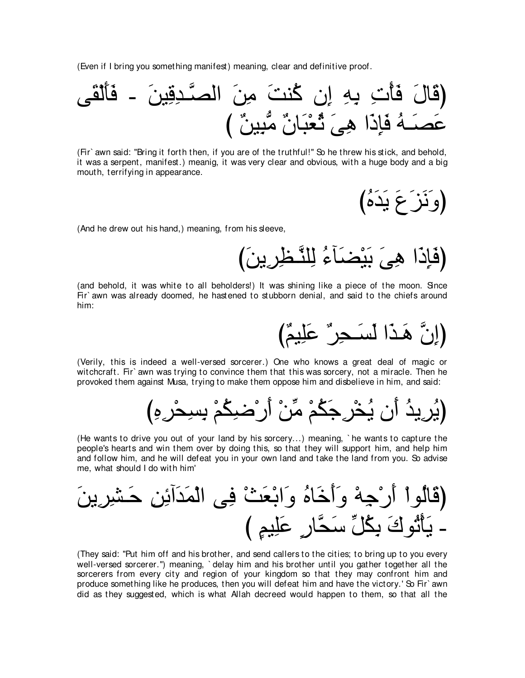(Even if I bring you something manifest) meaning, clear and definitive proof.



(Fir` awn said: "Bring it forth then, if you are of the truthful!'' So he threw his stick, and behold, it was a serpent, manifest.) meanig, it was very clear and obvious, with a huge body and a big mouth, terrifying in appearance.

(وَ ذَرَ عَ يَدَهُ)

(And he drew out his hand,) meaning, from his sleeve,

び∠リΑ⌒ゲ⌒ヌ⇒zレヤ⌒ャ ⊥¬べ∠ツ∇Β∠よ ∠ヴ⌒ワ や∠ク⌒み∠プぴ

(and behold, it was white to all beholders!) It was shining like a piece of the moon. Since Fir` awn was already doomed, he hastened to stubborn denial, and said to the chiefs around him:

(إِنَّ هَـذَا لَسَـجِرٍ" عَلِيمٌ)

(Verily, this is indeed a well-versed sorcerer.) One who knows a great deal of magic or witchcraft. Fir' awn was trying to convince them that this was sorcery, not a miracle. Then he provoked them against Musa, trying to make them oppose him and disbelieve in him, and said:

び⌒ロ⌒ゲ∇エ⌒ジ⌒よ ∇ユ⊥ム⌒ッ∇ケ∠ぺ ∇リあョ ∇ユ⊥ム∠ィ⌒ゲ∇ガ⊥Α ラ∠ぺ ⊥ギΑ⌒ゲ⊥Αぴ

(He wants to drive you out of your land by his sorcery...) meaning, ` he wants to capture the people's hearts and win them over by doing this, so that they will support him, and help him and follow him, and he will defeat you in your own land and take the land from you. So advise me, what should I do with him'

∠リΑ⌒ゲ⌒ゼ⇒∠ェ ⌒リ⌒もへ∠ギ∠ヨ∇ャや ヴ⌒プ ∇ゑ∠バ∇よや∠ヱ ⊥ロゅ∠カ∠ぺ∠ヱ ∇ヮ⌒ィ∇ケ∠ぺ ∇やヲ⊥ャゅ∠ホぴ び ∃ユΒ⌒ヤ∠ハ ∃ケゅzエ∠シ あモ⊥ム⌒よ ∠ポヲ⊥ゎ∇ほ∠Α -

(They said: "Put him off and his brother, and send callers to the cities; to bring up to you every well-versed sorcerer.'') meaning, ` delay him and his brother until you gather together all the sorcerers from every city and region of your kingdom so that they may confront him and produce something like he produces, then you will defeat him and have the victory.' So Fir' awn did as they suggested, which is what Allah decreed would happen to them, so that all the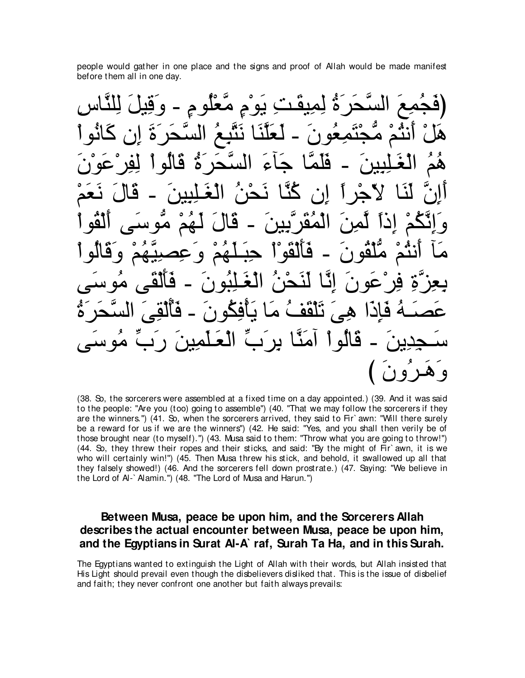people would gather in one place and the signs and proof of Allah would be made manifest before them all in one day.

⌒サゅzレヤ⌒ャ ∠モΒ⌒ホ∠ヱ - ∃ュヲ⊥ヤ∇バzョ ∃ュ∇ヲ∠Α ⌒ろ⇒∠ボΒ⌒ヨ⌒ャ ⊥り∠ゲ∠エzジャや ∠ノ⌒ヨ⊥イ∠プぴ ∇やヲ⊥ルゅ∠ミ ラ⌒ま ∠り∠ゲ∠エzジャや ⊥ノ⌒らzわ∠ル ゅ∠レzヤ∠バ∠ャ - ∠ラヲ⊥バ⌒ヨ∠わ∇イぁョ ∇ユ⊥わル∠ぺ ∇モ∠ワ ∠ラ∇ヲ∠ハ∇ゲ⌒ヘ⌒ャ ∇やヲ⊥ャゅ∠ホ ⊥り∠ゲ∠エzジャや ∠¬べ∠ィ ゅzヨ∠ヤ∠プ - ∠リΒ⌒ら⌒ヤ⇒∠ピ∇ャや ⊥ユ⊥ワ ∇ユ∠バ∠ル ∠メゅ∠ホ - ∠リΒ⌒ら⌒ヤ⇒∠ピ∇ャや ⊥リ∇エ∠ル ゅzレ⊥ミ ラ⌒ま ⇔やゲ∇ィ∂Ι ゅ∠レ∠ャ zラ⌒ま∠ぺ ∇やヲ⊥ボ∇ャ∠ぺ ヴ∠シヲぁョ ∇ユ⊥ヰ∠ャ ∠メゅ∠ホ - ∠リΒ⌒よzゲ∠ボ⊥ヨ∇ャや ∠リ⌒ヨzャ ⇔やク⌒ま ∇ユ⊥ムzル⌒ま∠ヱ ∇やヲ⊥ャゅ∠ホ∠ヱ ∇ユ⊥ヰzΒ⌒ダ⌒ハ∠ヱ ∇ユ⊥ヰ∠ヤ⇒∠ら⌒ェ ∇や∇ヲ∠ボ∇ャ∠ほ∠プ - ∠ラヲ⊥ボ∇ヤぁョ ∇ユ⊥わル∠ぺ べ∠ョ ヴ∠シヲ⊥ョ ヴ∠ボ∇ャ∠ほ∠プ - ∠ラヲ⊥ら⌒ヤ⇒∠ピ∇ャや ⊥リ∇エ∠レ∠ャ ゅzル⌒ま ∠ラヲ∠ハ∇ゲ⌒プ ⌒りzゴ⌒バ⌒よ ⊥り∠ゲ∠エzジャや ∠ヴ⌒ボ∇ャ⊥ほ∠プ - ∠ラヲ⊥ム⌒プ∇ほ∠Α ゅ∠ョ ⊥ブ∠ボ∇ヤ∠ゎ ∠ヴ⌒ワ や∠ク⌒み∠プ ⊥ヮ⇒∠ダ∠ハ ヴ∠シヲ⊥ョ あゆ∠ケ ∠リΒ⌒ヨ∠ヤ⇒∠バ∇ャや あゆ∠ゲ⌒よ ゅzレ∠ョへ ∇やヲ⊥ャゅ∠ホ - ∠リΑ⌒ギ⌒イ⇒∠シ び ∠ラヱ⊥ゲ⇒∠ワ∠ヱ

(38. So, the sorcerers were assembled at a fixed time on a day appointed.) (39. And it was said to the people: "Are you (too) going to assemble'') (40. "That we may follow the sorcerers if they are the winners.'') (41. So, when the sorcerers arrived, they said to Fir` awn: "Will there surely be a reward for us if we are the winners'') (42. He said: "Yes, and you shall then verily be of those brought near (to myself).'') (43. Musa said to them: "Throw what you are going to throw!'') (44. So, they threw their ropes and their sticks, and said: "By the might of Fir` awn, it is we who will certainly win!'') (45. Then Musa threw his stick, and behold, it swallowed up all that they falsely showed!) (46. And the sorcerers fell down prostrate.) (47. Saying: "We believe in the Lord of Al-` Alamin.'') (48. "The Lord of Musa and Harun.'')

# **Between Musa, peace be upon him, and the Sorcerers Allah describes the actual encounter between Musa, peace be upon him, and the Egyptians in Surat Al-A` raf, Surah Ta Ha, and in this Surah.**

The Egyptians wanted to extinguish the Light of Allah with their words, but Allah insisted that His Light should prevail even though the disbelievers disliked that. This is the issue of disbelief and faith; they never confront one another but faith always prevails: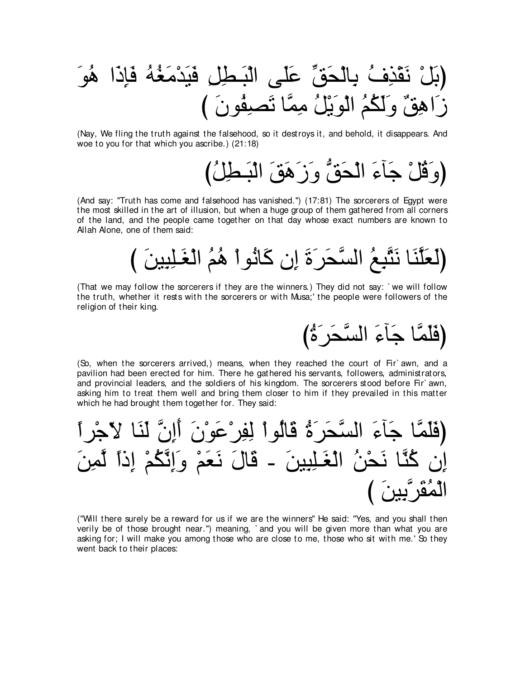∠ヲ⊥ワ や∠ク⌒み∠プ ⊥ヮ⊥ピ∠ョ∇ギ∠Β∠プ ⌒モ⌒ト⇒∠ら∇ャや ヴ∠ヤ∠ハ あペ∠エ∇ャゅ⌒よ ⊥フ⌒グ∇ボ∠ル ∇モ∠よぴ び ∠ラヲ⊥ヘ⌒ダ∠ゎ ゅzヨ⌒ョ ⊥モ∇Α∠ヲ∇ャや ⊥ユ⊥ム∠ャ∠ヱ ∀ペ⌒ワや∠コ

(Nay, We fling the truth against the falsehood, so it destroys it, and behold, it disappears. And woe to you for that which you ascribe.) (21:18)

(وَقُلْ جَآءَ الْحَقُّ وَزَهَقَ الْبَطِلُ)

(And say: "Truth has come and falsehood has vanished.'') (17:81) The sorcerers of Egypt were the most skilled in the art of illusion, but when a huge group of them gathered from all corners of the land, and the people came together on that day whose exact numbers are known to Allah Alone, one of them said:

び ∠リΒ⌒ら⌒ヤ⇒∠ピ∇ャや ⊥ユ⊥ワ ∇やヲ⊥ルゅ∠ミ ラ⌒ま ∠り∠ゲ∠エzジャや ⊥ノ⌒らzわ∠ル ゅ∠レzヤ∠バ∠ャぴ

(That we may follow the sorcerers if they are the winners.) They did not say: ` we will follow the truth, whether it rests with the sorcerers or with Musa;' the people were followers of the religion of their king.

(فَلَمَّا جَآءَ السَّحَر<sup>ِ</sup>ةُ)

(So, when the sorcerers arrived,) means, when they reached the court of Fir` awn, and a pavilion had been erected for him. There he gathered his servants, followers, administrators, and provincial leaders, and the soldiers of his kingdom. The sorcerers stood before Fir` awn, asking him to treat them well and bring them closer to him if they prevailed in this matter which he had brought them together for. They said:

⇔やゲ∇ィ∂Ι ゅ∠レ∠ャ zラ⌒ま∠ぺ ∠ラ∇ヲ∠ハ∇ゲ⌒ヘ⌒ャ ∇やヲ⊥ャゅ∠ホ ⊥り∠ゲ∠エzジャや ∠¬べ∠ィ ゅzヨ∠ヤ∠プぴ ∠リ⌒ヨzャ ⇔やク⌒ま ∇ユ⊥ムzル⌒ま∠ヱ ∇ユ∠バ∠ル ∠メゅ∠ホ - ∠リΒ⌒ら⌒ヤ⇒∠ピ∇ャや ⊥リ∇エ∠ル ゅzレ⊥ミ ラ⌒ま び ∠リΒ⌒よzゲ∠ボ⊥ヨ∇ャや

("Will there surely be a reward for us if we are the winners'' He said: "Yes, and you shall then verily be of those brought near.'') meaning, ` and you will be given more than what you are asking for; I will make you among those who are close to me, those who sit with me.' So they went back to their places: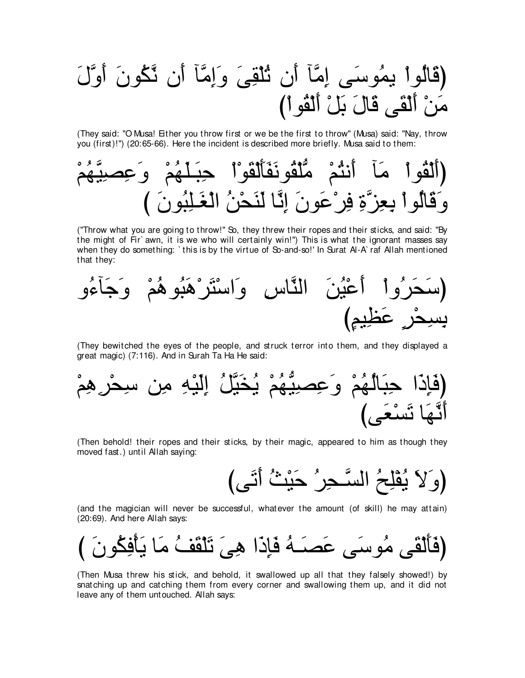(قَالُوا يمُوسَى إِمَّأَ أَنِ ثُلْقِيَ وَإِمَّأَ أَنِ ثَكُونَ أَوَّلَ مَنْ أَلْقَى قَالَ بَلْ أَلْقُو أَ)

(They said: "O Musa! Either you throw first or we be the first to throw'' (Musa) said: "Nay, throw you (first)!'') (20:65-66). Here the incident is described more briefly. Musa said to them:



("Throw what you are going to throw!'' So, they threw their ropes and their sticks, and said: "By the might of Fir` awn, it is we who will certainly win!'') This is what the ignorant masses say when they do something: `this is by the virtue of So-and-so!' In Surat Al-A` raf Allah mentioned that they:



(They bewitched the eyes of the people, and struck terror into them, and they displayed a great magic) (7:116). And in Surah Ta Ha He said:



(Then behold! their ropes and their sticks, by their magic, appeared to him as though they moved fast.) until Allah saying:



(and the magician will never be successful, whatever the amount (of skill) he may attain) (20:69). And here Allah says:



(Then Musa threw his stick, and behold, it swallowed up all that they falsely showed!) by snatching up and catching them from every corner and swallowing them up, and it did not leave any of them untouched. Allah says: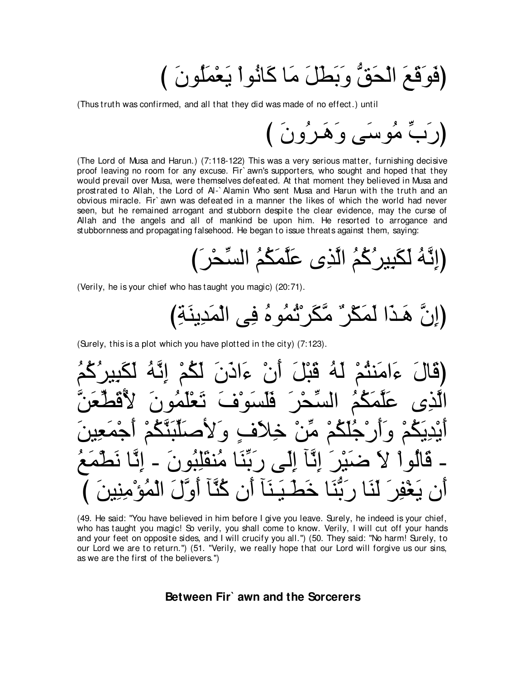(فَوَقَعَ الْحَقُّ وَبَطْلَ مَا كَانُواْ يَعْمَلُونَ )

(Thus truth was confirmed, and all that they did was made of no effect.) until

(The Lord of Musa and Harun.) (7:118-122) This was a very serious matter, furnishing decisive proof leaving no room for any excuse. Fir awn's supporters, who sought and hoped that they would prevail over Musa, were themselves defeated. At that moment they believed in Musa and prostrated to Allah, the Lord of Al-`Alamin Who sent Musa and Harun with the truth and an obvious miracle. Fir awn was defeated in a manner the likes of which the world had never seen, but he remained arrogant and stubborn despite the clear evidence, may the curse of Allah and the angels and all of mankind be upon him. He resorted to arrogance and stubbornness and propagating falsehood. He began to issue threats against them, saying:

(Verily, he is your chief who has taught you magic) (20:71).

(Surely, this is a plot which you have plotted in the city) (7:123).

(49. He said: "You have believed in him before I give you leave. Surely, he indeed is your chief, who has taught you magic! So verily, you shall come to know. Verily, I will cut off your hands and your feet on opposite sides, and I will crucify you all.") (50. They said: "No harm! Surely, to our Lord we are to return.") (51. "Verily, we really hope that our Lord will forgive us our sins, as we are the first of the believers.")

# Between Fir<sup>3</sup> awn and the Sorcerers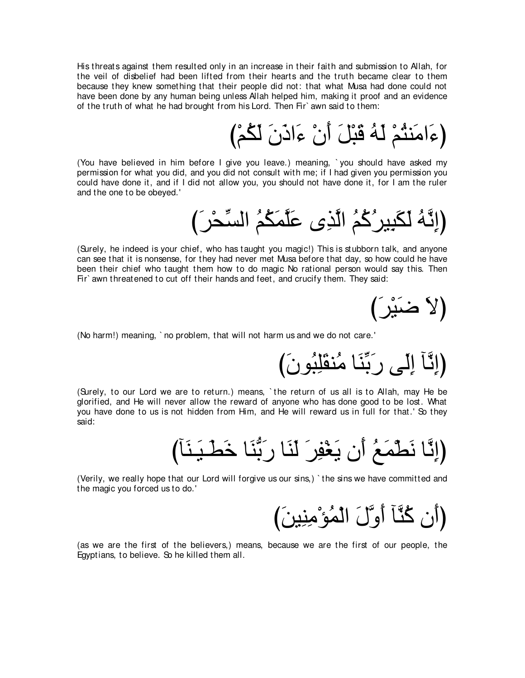His threats against them resulted only in an increase in their faith and submission to Allah, for the veil of disbelief had been lifted from their hearts and the truth became clear to them because they knew something that their people did not: that what Musa had done could not have been done by any human being unless Allah helped him, making it proof and an evidence of the truth of what he had brought from his Lord. Then Fir` awn said to them:

び∇ユ⊥ム∠ャ ∠ラ∠クや∠¬ ∇ラ∠ぺ ∠モ∇ら∠ホ ⊥ヮ∠ャ ∇ユ⊥わレ∠ョや∠¬ぴ

(You have believed in him before I give you leave.) meaning, ` you should have asked my permission for what you did, and you did not consult with me; if I had given you permission you could have done it, and if I did not allow you, you should not have done it, for I am the ruler and the one to be obeyed.'

び∠ゲ∇エあジャや ⊥ユ⊥ム∠ヨzヤ∠ハ ン⌒グzャや ⊥ユ⊥ミ⊥ゲΒ⌒ら∠ム∠ャ ⊥ヮzル⌒まぴ

(Surely, he indeed is your chief, who has taught you magic!) This is stubborn talk, and anyone can see that it is nonsense, for they had never met Musa before that day, so how could he have been their chief who taught them how to do magic No rational person would say this. Then Fir` awn threatened to cut off their hands and feet, and crucify them. They said:

(لاَ ضَنَيْر)

(No harm!) meaning, ` no problem, that will not harm us and we do not care.'

(إِنَّآ إِلَى رَبِّنَا مُنڤَلِبُونَ)

(Surely, to our Lord we are to return.) means, ` the return of us all is to Allah, may He be glorified, and He will never allow the reward of anyone who has done good to be lost. What you have done to us is not hidden from Him, and He will reward us in full for that.' So they said:

びべ∠レ⇒∠Β⇒∠ト∠カ ゅ∠レぁよ∠ケ ゅ∠レ∠ャ ∠ゲ⌒ヘ∇ピ∠Α ラ∠ぺ ⊥ノ∠ヨ∇ト∠ル ゅzル⌒まぴ

(Verily, we really hope that our Lord will forgive us our sins,) ` the sins we have committed and the magic you forced us to do.'

(أَنِ كُنَّآ أُوَّلَ الْمُؤْمِنِينَ)

(as we are the first of the believers,) means, because we are the first of our people, the Egyptians, to believe. So he killed them all.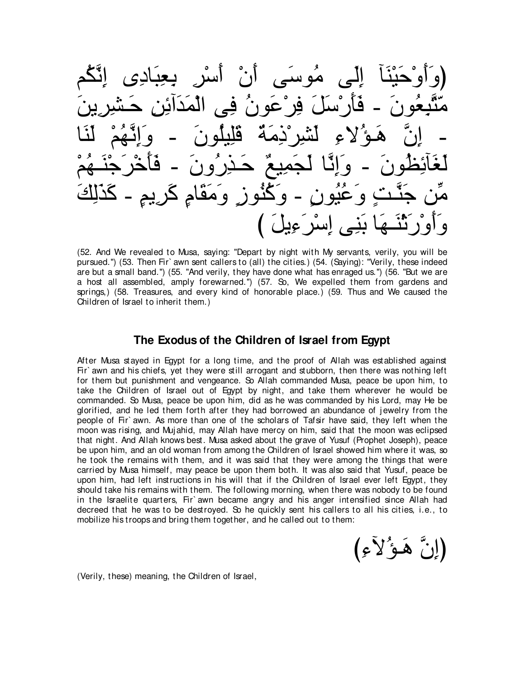(وَأَوْحَيْنَا إِلَى مُوسَى أَنْ أَسْرِ بِعِبَادِي إِنَّكُم مَنَّبِعُونَ − فَأَرْسَلَ فِرْعَونُ فِي الْمَدَائِنِ حَشْرِينَ − إِنَّ هَـوُ لاءِ لَشْرِرْذِمَةٌ قُلِيلُونَ − وَإِنَّـهُمْ لَنَا لَغَائِظُونَ - وَإِنَّا لَـجَمِيعٌ حَـذِرُونَ - فَأَخْرَجْنَــهُمْ مِّن جَنَّـٰتٍ وَعُنُمونٍ - وَكْنُوزٍ وَمَقَامٍ كَريمٍ - كَذَلِكَ وَأَوْرَثَنَــهَا بَنِـى إِسْرَءِيلَ )

(52. And We revealed to Musa, saying: "Depart by night with My servants, verily, you will be pursued.'') (53. Then Fir` awn sent callers to (all) the cities.) (54. (Saying): "Verily, these indeed are but a small band.'') (55. "And verily, they have done what has enraged us.'') (56. "But we are a host all assembled, amply forewarned.'') (57. So, We expelled them from gardens and springs,) (58. Treasures, and every kind of honorable place.) (59. Thus and We caused the Children of Israel to inherit them.)

### **The Exodus of the Children of Israel from Egypt**

After Musa stayed in Egypt for a long time, and the proof of Allah was established against Fir` awn and his chiefs, yet they were still arrogant and stubborn, then there was nothing left for them but punishment and vengeance. So Allah commanded Musa, peace be upon him, to take the Children of Israel out of Egypt by night, and take them wherever he would be commanded. So Musa, peace be upon him, did as he was commanded by his Lord, may He be glorified, and he led them forth after they had borrowed an abundance of j ewelry from the people of Fir` awn. As more than one of the scholars of Tafsir have said, they left when the moon was rising, and Mujahid, may Allah have mercy on him, said that the moon was eclipsed that night. And Allah knows best. Musa asked about the grave of Yusuf (Prophet Joseph), peace be upon him, and an old woman from among the Children of Israel showed him where it was, so he took the remains with them, and it was said that they were among the things that were carried by Musa himself, may peace be upon them both. It was also said that Yusuf, peace be upon him, had left instructions in his will that if the Children of Israel ever left Egypt, they should take his remains with them. The following morning, when there was nobody to be found in the Israelite quarters, Fir` awn became angry and his anger intensified since Allah had decreed that he was to be destroyed. So he quickly sent his callers to all his cities, i.e., to mobilize his troops and bring them together, and he called out to them:

(إِنَّ هَـوَ′لاًءِ)

(Verily, these) meaning, the Children of Israel,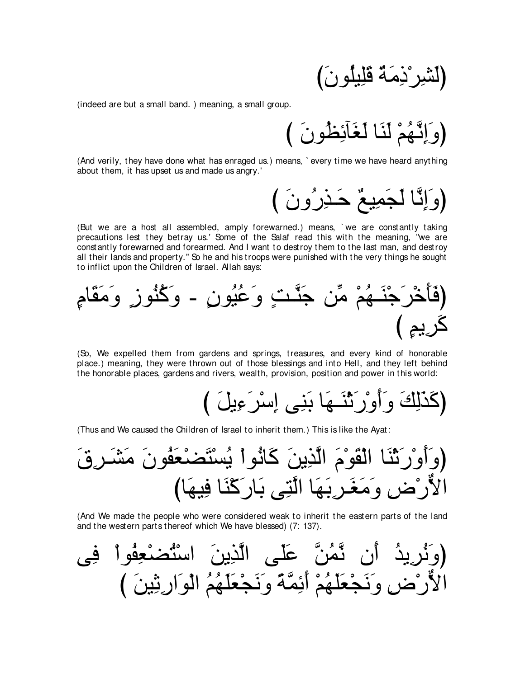(indeed are but a small band.) meaning, a small group.

(And verily, they have done what has enraged us.) means, `every time we have heard anything about them, it has upset us and made us angry.'

(وَإِنَّا لَجَمِيعٌ حَذِرُونَ )

(But we are a host all assembled, amply forewarned.) means, 'we are constantly taking precautions lest they betray us.' Some of the Salaf read this with the meaning. "we are constantly forewarned and forearmed. And I want to destroy them to the last man, and destroy all their lands and property." So he and his troops were punished with the very things he sought to inflict upon the Children of Israel. Allah says:

(So, We expelled them from gardens and springs, treasures, and every kind of honorable place.) meaning, they were thrown out of those blessings and into Hell, and they left behind the honorable places, gardens and rivers, wealth, provision, position and power in this world:

(Thus and We caused the Children of Israel to inherit them.) This is like the Ayat:

(And We made the people who were considered weak to inherit the eastern parts of the land and the western parts thereof which We have blessed) (7: 137).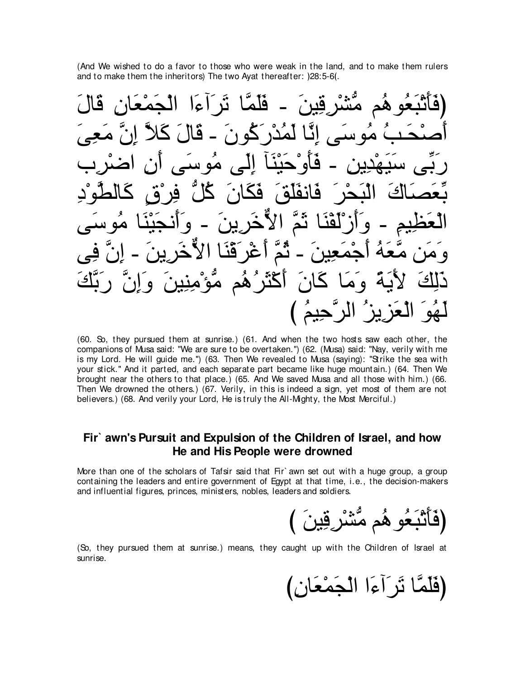(And We wished to do a favor to those who were weak in the land, and to make them rulers and to make them the inheritors) The two Ayat thereafter:  $|28:5-6($ .



(60. So, they pursued them at sunrise.) (61. And when the two hosts saw each other, the companions of Musa said: "We are sure to be overtaken.'') (62. (Musa) said: "Nay, verily with me is my Lord. He will guide me.'') (63. Then We revealed to Musa (saying): "Strike the sea with your stick.'' And it parted, and each separate part became like huge mountain.) (64. Then We brought near the others to that place.) (65. And We saved Musa and all those with him.) (66. Then We drowned the others.) (67. Verily, in this is indeed a sign, yet most of them are not believers.) (68. And verily your Lord, He is truly the All-Mighty, the Most Merciful.)

# **Fir` awn's Pursuit and Expulsion of the Children of Israel, and how He and His People were drowned**

More than one of the scholars of Tafsir said that Fir awn set out with a huge group, a group containing the leaders and entire government of Egypt at that time, i.e., the decision-makers and influential figures, princes, ministers, nobles, leaders and soldiers.

ڷڹۘۼُو هُم مُّشْرِقِينَ

(So, they pursued them at sunrise.) means, they caught up with the Children of Israel at sunrise.

(فَلَمَّا نَرِ آءَا الْجَمْعَانِ)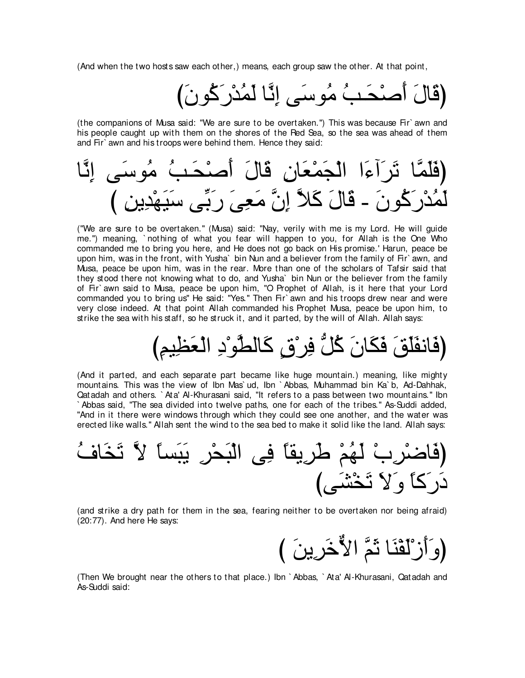(And when the two hosts saw each other,) means, each group saw the other. At that point,

(قَالَ أَصنْحَـبُ مُوسَى اِنَّا لَمُدْر<sup>ِ</sup>كُونَ)

(the companions of Musa said: "We are sure to be overtaken.'') This was because Fir` awn and his people caught up with them on the shores of the Red Sea, so the sea was ahead of them and Fir` awn and his troops were behind them. Hence they said:

ゅzル⌒ま ヴ∠シヲ⊥ョ ⊥ょ⇒∠エ∇タ∠ぺ ∠メゅ∠ホ ⌒ラゅ∠バ∇ヨ∠イ∇ャや や∠¬へ∠ゲ∠ゎ ゅzヨ∠ヤ∠プぴ び ⌒リΑ⌒ギ∇ヰ∠Β∠シ ヴあよ∠ケ ∠ヴ⌒バ∠ョ zラ⌒ま zΚ∠ミ ∠メゅ∠ホ - ∠ラヲ⊥ミ∠ケ∇ギ⊥ヨ∠ャ

("We are sure to be overtaken.'' (Musa) said: "Nay, verily with me is my Lord. He will guide me.'') meaning, ` nothing of what you fear will happen to you, for Allah is the One Who commanded me to bring you here, and He does not go back on His promise.' Harun, peace be upon him, was in the front, with Yusha` bin Nun and a believer from the family of Fir` awn, and Musa, peace be upon him, was in the rear. More than one of the scholars of Tafsir said that they stood there not knowing what to do, and Yusha` bin Nun or the believer from the family of Fir` awn said to Musa, peace be upon him, "O Prophet of Allah, is it here that your Lord commanded you to bring us'' He said: "Yes.'' Then Fir` awn and his troops drew near and were very close indeed. At that point Allah commanded his Prophet Musa, peace be upon him, to strike the sea with his staff, so he struck it, and it parted, by the will of Allah. Allah says:

# (فَانفَلَقَ فَكَانَ كُلُّ فِر<sup>ْ</sup>قٍ كَالطَّو<sup>ْ</sup>دِ الْعَظِيمِ)

(And it parted, and each separate part became like huge mountain.) meaning, like mighty mountains. This was the view of Ibn Mas` ud, Ibn ` Abbas, Muhammad bin Ka` b, Ad-Dahhak, Qatadah and others. ` Ata' Al-Khurasani said, "It refers to a pass between two mountains.'' Ibn ` Abbas said, "The sea divided into twelve paths, one for each of the tribes.'' As-Suddi added, "And in it there were windows through which they could see one another, and the water was erected like walls.'' Allah sent the wind to the sea bed to make it solid like the land. Allah says:

⊥フゅ∠ガ∠ゎ zΙ ⇔ゅジ∠ら∠Α ⌒ゲ∇エ∠ら∇ャや ヴ⌒プ ⇔ゅボΑ⌒ゲ∠デ ∇ユ⊥ヰ∠ャ ∇ゆ⌒ゲ∇ッゅ∠プぴ びヴ∠ゼ∇ガ∠ゎ ∠Ι∠ヱ ⇔ゅミ∠ケ∠キ

(and strike a dry path for them in the sea, fearing neither to be overtaken nor being afraid) (20:77). And here He says:

び ∠リΑ⌒ゲ∠カxΙや zユ∠を ゅ∠レ∇ヘ∠ャ∇コ∠ぺ∠ヱぴ

(Then We brought near the others to that place.) Ibn ` Abbas, ` Ata' Al-Khurasani, Qatadah and As-Suddi said: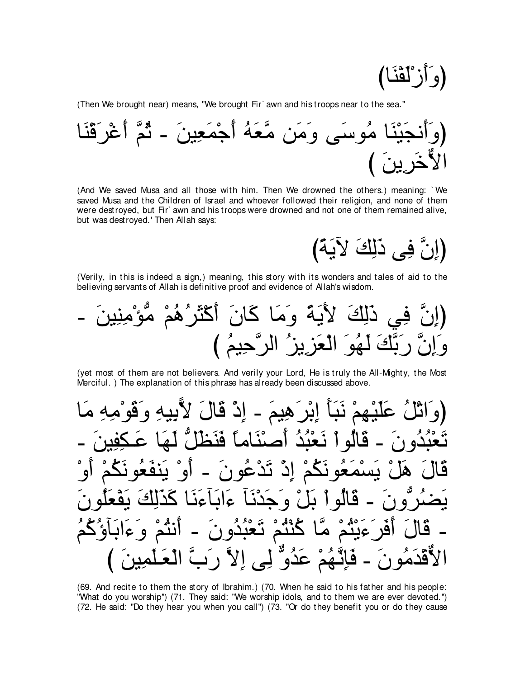(وَأَزْلَقْنَا)

(Then We brought near) means, "We brought Fir' awn and his troops near to the sea."

(And We saved Musa and all those with him. Then We drowned the others.) meaning: `We saved Musa and the Children of Israel and whoever followed their religion, and none of them were destroyed, but Fir` awn and his troops were drowned and not one of them remained alive, but was destroyed.' Then Allah says:

(إِنَّ فِي ذَلِكَ لِآيَةً)

(Verily, in this is indeed a sign,) meaning, this story with its wonders and tales of aid to the believing servants of Allah is definitive proof and evidence of Allah's wisdom.

(yet most of them are not believers. And verily your Lord, He is truly the All-Mighty, the Most Merciful.) The explanation of this phrase has already been discussed above.

(69. And recite to them the story of Ibrahim.) (70. When he said to his father and his people: "What do you worship") (71. They said: "We worship idols, and to them we are ever devoted.") (72. He said: "Do they hear you when you call") (73. "Or do they benefit you or do they cause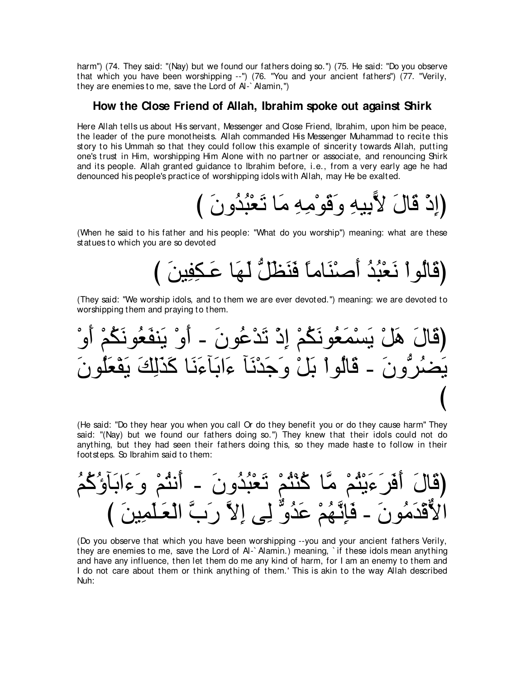harm") (74. They said: "(Nay) but we found our fathers doing so.") (75. He said: "Do you observe that which you have been worshipping --") (76. "You and your ancient fathers") (77. "Verily, they are enemies to me. save the Lord of Al-`Alamin.")

### How the Close Friend of Allah, Ibrahim spoke out against Shirk

Here Allah tells us about His servant, Messenger and Close Friend, Ibrahim, upon him be peace, the leader of the pure monotheists. Allah commanded His Messenger Muhammad to recite this story to his Ummah so that they could follow this example of sincerity towards Allah, putting one's trust in Him, worshipping Him Alone with no partner or associate, and renouncing Shirk and its people. Allah granted guidance to Ibrahim before, i.e., from a very early age he had denounced his people's practice of worshipping idols with Allah, may He be exalted.

(When he said to his father and his people: "What do you worship") meaning: what are these statues to which you are so devoted

(They said: "We worship idols, and to them we are ever devoted.") meaning: we are devoted to worshipping them and praying to them.

(He said: "Do they hear you when you call Or do they benefit you or do they cause harm" They said: "(Nay) but we found our fathers doing so.") They knew that their idols could not do anything, but they had seen their fathers doing this, so they made haste to follow in their foot steps. So Ibrahim said to them:

(Do you observe that which you have been worshipping --you and your ancient fathers Verily, they are enemies to me, save the Lord of Al-`Alamin.) meaning, `if these idols mean anything and have any influence, then let them do me any kind of harm, for I am an enemy to them and I do not care about them or think anything of them.' This is akin to the way Allah described Nuh: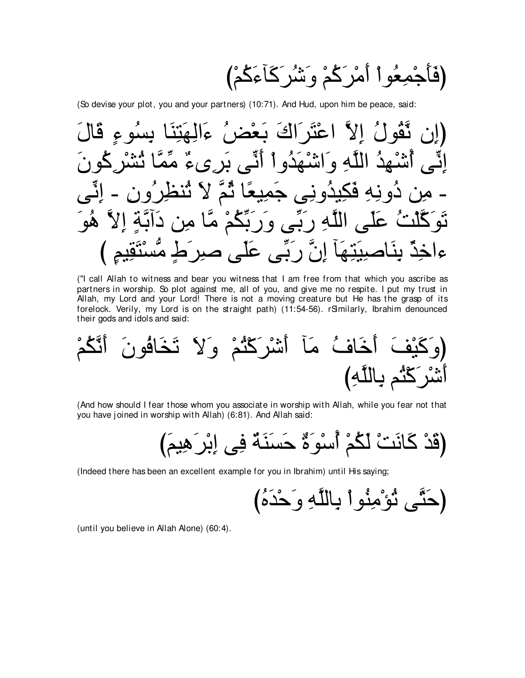(So devise your plot, you and your partners) (10:71). And Hud, upon him be peace, said:

("I call Allah to witness and bear you witness that I am free from that which you ascribe as partners in worship. So plot against me, all of you, and give me no respite. I put my trust in Allah, my Lord and your Lord! There is not a moving creature but He has the grasp of its forelock. Verily, my Lord is on the straight path) (11:54-56). rSmilarly, Ibrahim denounced their gods and idols and said:

(And how should I fear those whom you associate in worship with Allah, while you fear not that you have joined in worship with Allah) (6:81). And Allah said:

(Indeed there has been an excellent example for you in Ibrahim) until His saying;

(until you believe in Allah Alone) (60:4).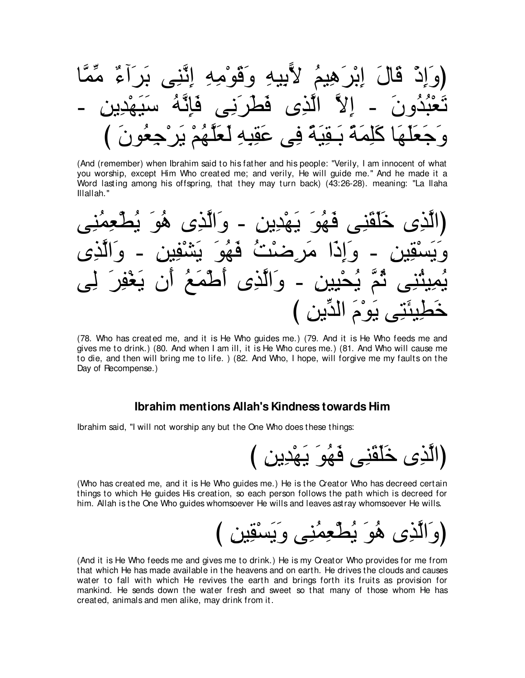(And (remember) when Ibrahim said to his father and his people: "Verily, I am innocent of what you worship, except Him Who created me; and verily, He will guide me." And he made it a Word lasting among his offspring, that they may turn back) (43:26-28). meaning: "La Ilaha Illallah."

(78. Who has created me, and it is He Who guides me.) (79. And it is He Who feeds me and gives me to drink.) (80. And when I am ill, it is He Who cures me.) (81. And Who will cause me to die, and then will bring me to life. ) (82. And Who, I hope, will forgive me my faults on the Day of Recompense.)

### Ibrahim mentions Allah's Kindness towards Him

Ibrahim said, "I will not worship any but the One Who does these things:

(Who has created me, and it is He Who guides me.) He is the Creator Who has decreed certain things to which He guides His creation, so each person follows the path which is decreed for him. Allah is the One Who guides whomsoever He wills and leaves astray whomsoever He wills.

(And it is He Who feeds me and gives me to drink.) He is my Creator Who provides for me from that which He has made available in the heavens and on earth. He drives the clouds and causes water to fall with which He revives the earth and brings forth its fruits as provision for mankind. He sends down the water fresh and sweet so that many of those whom He has created, animals and men alike, may drink from it.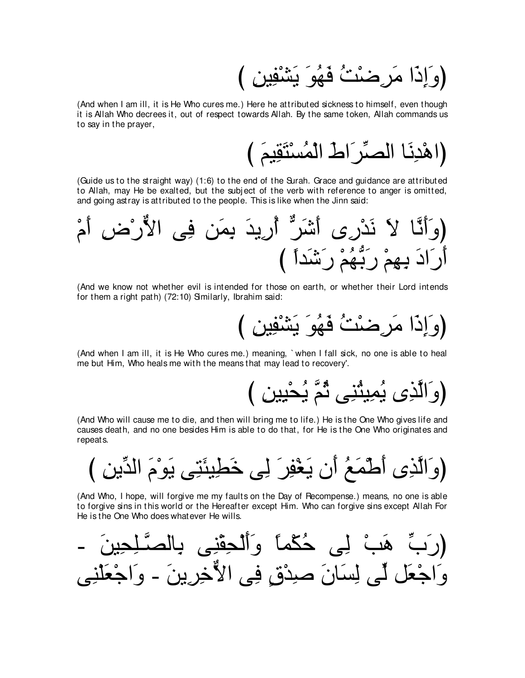(And when I am ill, it is He Who cures me.) Here he attributed sickness to himself, even though it is Allah Who decrees it, out of respect towards Allah. By the same token, Allah commands us to say in the prayer,

(Guide us to the straight way) (1:6) to the end of the Surah. Grace and guidance are attributed to Allah, may He be exalted, but the subject of the verb with reference to anger is omitted, and going astray is attributed to the people. This is like when the Jinn said:

(And we know not whether evil is intended for those on earth, or whether their Lord intends for them a right path) (72:10) Smilarly, Ibrahim said:

(وَإِذَا مَرِضْنٌ فَهُوَ يَشْفِينَ )

(And when I am ill, it is He Who cures me.) meaning, 'when I fall sick, no one is able to heal me but Him, Who heals me with the means that may lead to recovery'.

(And Who will cause me to die, and then will bring me to life.) He is the One Who gives life and causes death, and no one besides Him is able to do that, for He is the One Who originates and repeats.

(And Who, I hope, will forgive me my faults on the Day of Recompense.) means, no one is able to forgive sins in this world or the Hereafter except Him. Who can forgive sins except Allah For He is the One Who does whatever He wills.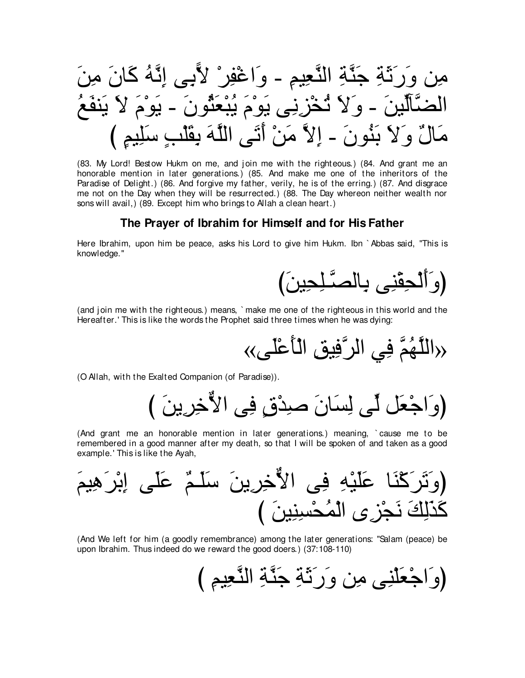(83. My Lord! Bestow Hukm on me, and join me with the righteous.) (84. And grant me an honorable mention in later generations.) (85. And make me one of the inheritors of the Paradise of Delight.) (86. And forgive my father, verily, he is of the erring.) (87. And disgrace me not on the Day when they will be resurrected.) (88. The Day whereon neither wealth nor sons will avail,) (89. Except him who brings to Allah a clean heart.)

### The Prayer of Ibrahim for Himself and for His Father

Here Ibrahim, upon him be peace, asks his Lord to give him Hukm. Ibn `Abbas said, "This is knowledge."



(and join me with the righteous.) means, `make me one of the righteous in this world and the Hereafter.' This is like the words the Prophet said three times when he was dying:

(O Allah, with the Exalted Companion (of Paradise)).

(وَاجْعَلْ لِّي لِسَانَ صِدْقٍ فِي الأَخِرِينَ )

(And grant me an honorable mention in later generations.) meaning, `cause me to be remembered in a good manner after my death, so that I will be spoken of and taken as a good example.' This is like the Ayah,



(And We left for him (a goodly remembrance) among the later generations: "Salam (peace) be upon Ibrahim. Thus indeed do we reward the good doers.) (37:108-110)

(وَاجْعَلْنِي مِن وَرَنَّةٍ جَنَّةٍ النَّعِيمِ )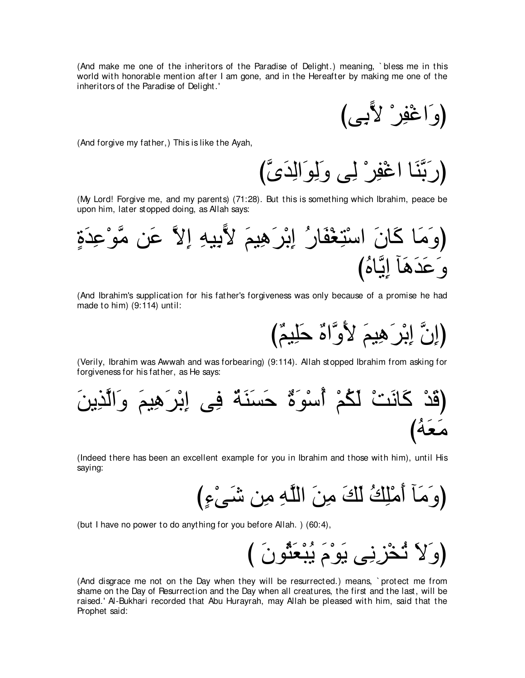(And make me one of the inheritors of the Paradise of Delight.) meaning, ` bless me in this world with honorable mention after I am gone, and in the Hereafter by making me one of the inheritors of the Paradise of Delight.'

(وَاغْفِرْ لأَبِي)

(And forgive my father,) This is like the Ayah,

(رَبَّنَا اعْفِر ْ لِي وَلِوَ الِدَيَّ)

(My Lord! Forgive me, and my parents) (71:28). But this is something which Ibrahim, peace be upon him, later stopped doing, as Allah says:



(And Ibrahim's supplication for his father's forgiveness was only because of a promise he had made to him) (9:114) until:

(إِنَّ إِبْرٍ هِيمَ لأَوَّاهٌ حَلِيمٌ)

(Verily, Ibrahim was Awwah and was forbearing) (9:114). Allah stopped Ibrahim from asking for forgiveness for his father, as He says:



(Indeed there has been an excellent example for you in Ibrahim and those with him), until His saying:

び∃¬∇ヴ∠セ リ⌒ョ ⌒ヮzヤャや ∠リ⌒ョ ∠マ∠ャ ⊥マ⌒ヤ∇ョ∠ぺ べ∠ョ∠ヱぴ

(but I have no power to do anything for you before Allah. ) (60:4),

(وَلاَ ثُخْزِنِي يَوْمَ يُبْعَثُونَ )

(And disgrace me not on the Day when they will be resurrected.) means, ` protect me from shame on the Day of Resurrection and the Day when all creatures, the first and the last, will be raised.' Al-Bukhari recorded that Abu Hurayrah, may Allah be pleased with him, said that the Prophet said: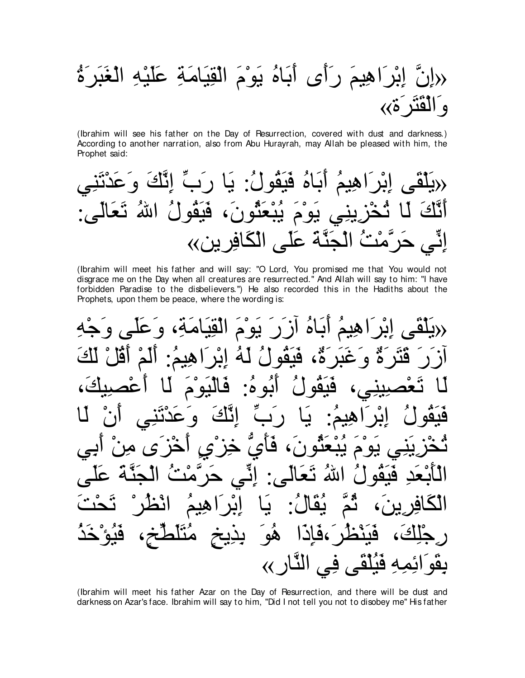# «إِنَّ إِبْرَاهِيمَ رَأَى أَبَاهُ يَوْمَ الْقِيَامَةِ عَلَيْهِ الْغَبَرَةُ<br>وَالْقَتَرَةِ››

(Ibrahim will see his father on the Day of Resurrection, covered with dust and darkness.) According to another narration, also from Abu Hurayrah, may Allah be pleased with him, the Prophet said:

(Ibrahim will meet his father and will say: "O Lord, You promised me that You would not disgrace me on the Day when all creatures are resurrected." And Allah will say to him: "I have forbidden Paradise to the disbelievers.") He also recorded this in the Hadiths about the Prophets, upon them be peace, where the wording is:

(Ibrahim will meet his father Azar on the Day of Resurrection, and there will be dust and darkness on Azar's face. Ibrahim will say to him, "Did I not tell you not to disobey me" His father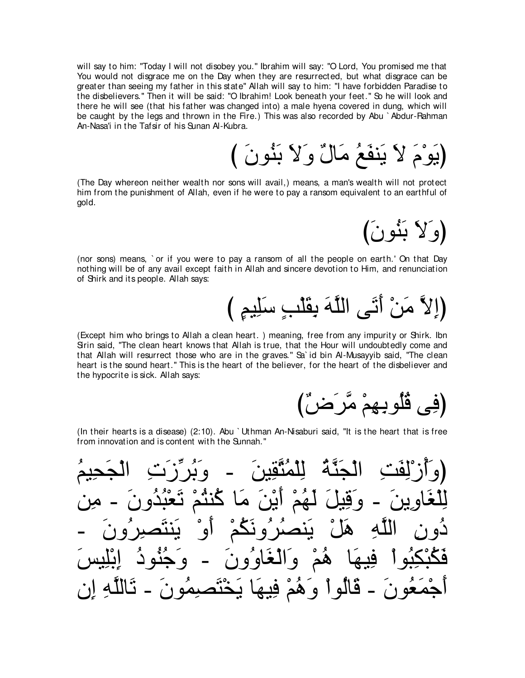will say to him: "Today I will not disobey you." Ibrahim will say: "O Lord, You promised me that You would not disgrace me on the Day when they are resurrected, but what disgrace can be greater than seeing my father in this state'' Allah will say to him: "I have forbidden Paradise to the disbelievers.'' Then it will be said: "O Ibrahim! Look beneath your feet.'' So he will look and there he will see (that his father was changed into) a male hyena covered in dung, which will be caught by the legs and thrown in the Fire.) This was also recorded by Abu `Abdur-Rahman An-Nasa'i in the Tafsir of his Sunan Al-Kubra.

(يَوْمَ لاَ يَنفَعُ مَالٌ وَلاَ بَنُونَ )

(The Day whereon neither wealth nor sons will avail,) means, a man's wealth will not protect him from the punishment of Allah, even if he were to pay a ransom equivalent to an earthful of gold.

(وَلاَ بَنُونَ)

(nor sons) means, ` or if you were to pay a ransom of all the people on earth.' On that Day nothing will be of any avail except faith in Allah and sincere devotion to Him, and renunciation of Shirk and its people. Allah says:

び ∃ユΒ⌒ヤ∠シ ∃ょ∇ヤ∠ボ⌒よ ∠ヮzヤャや ヴ∠ゎ∠ぺ ∇リ∠ョ zΙ⌒まぴ

(Except him who brings to Allah a clean heart. ) meaning, free from any impurity or Shirk. Ibn Sirin said, "The clean heart knows that Allah is true, that the Hour will undoubtedly come and that Allah will resurrect those who are in the graves." Sa id bin Al-Musayyib said, "The clean heart is the sound heart.'' This is the heart of the believer, for the heart of the disbeliever and the hypocrite is sick. Allah says:

(فِي ڤُلُوبِـهِمْ مَّرَضٌّ)

(In their hearts is a disease) (2:10). Abu ` Uthman An-Nisaburi said, "It is the heart that is free from innovation and is content with the Sunnah.''

⊥ユΒ⌒エ∠イ∇ャや ⌒れ∠コあゲ⊥よ∠ヱ - ∠リΒ⌒ボzわ⊥ヨ∇ヤ⌒ャ ⊥るzレ∠イ∇ャや ⌒ろ∠ヘ⌒ャ∇コ⊥ぺ∠ヱぴ リ⌒ョ - ∠ラヱ⊥ギ⊥ら∇バ∠ゎ ∇ユ⊥わレ⊥ミ ゅ∠ョ ∠リ∇Α∠ぺ ∇ユ⊥ヰ∠ャ ∠モΒ⌒ホ∠ヱ - ∠リΑ⌒ヱゅ∠ピ∇ヤ⌒ャ - ∠ラヱ⊥ゲ⌒ダ∠わレ∠Α ∇ヱ∠ぺ ∇ユ⊥ム∠ルヱ⊥ゲ⊥ダレ∠Α ∇モ∠ワ ⌒ヮzヤャや ⌒ラヱ⊥キ ∠ザΒ⌒ヤ∇よ⌒ま ⊥キヲ⊥レ⊥ィ∠ヱ - ∠ラヱ⊥ヱゅ∠ピ∇ャや∠ヱ ∇ユ⊥ワ ゅ∠ヰΒ⌒プ ∇やヲ⊥ら⌒ム∇ら⊥ム∠プ ラ⌒ま ⌒ヮzヤャゅ∠ゎ - ∠ラヲ⊥ヨ⌒ダ∠わ∇ガ∠Α ゅ∠ヰΒ⌒プ ∇ユ⊥ワ∠ヱ ∇やヲ⊥ャゅ∠ホ - ∠ラヲ⊥バ∠ヨ∇ィ∠ぺ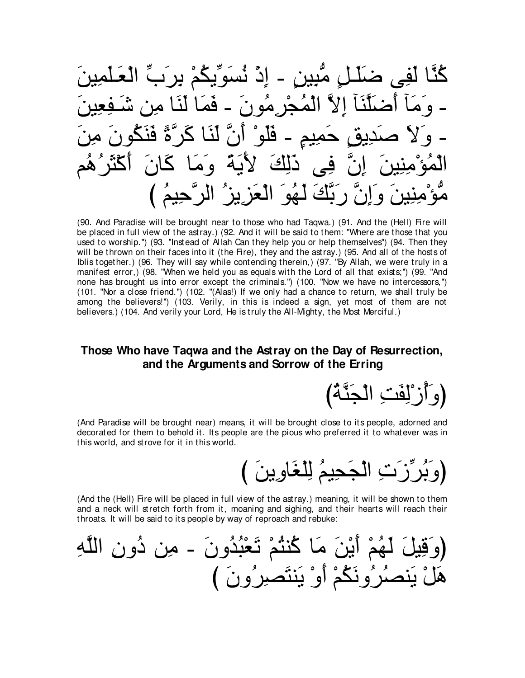كُنَّا لَفِي ضَلَّلٍ مَّبِينٍ - إِذْ نُسَوِّيكُمْ بِرِنِبِّ الْ الْمُحْرِ مُونَ ـ فَمَا لَنَا مِر فلم  $\tilde{A}$ د [[گ نَّ رِبِّكَ لَهُوَ الْعَزِيزِ ۚ الرَّحِيمُ ﴾

(90. And Paradise will be brought near to those who had Tagwa.) (91. And the (Hell) Fire will be placed in full view of the astray.) (92. And it will be said to them: "Where are those that you used to worship.") (93. "Instead of Allah Can they help you or help themselves") (94. Then they will be thrown on their faces into it (the Fire), they and the astray.) (95. And all of the hosts of Iblis together.) (96. They will say while contending therein,) (97. "By Allah, we were truly in a manifest error,) (98. "When we held you as equals with the Lord of all that exists;") (99. "And none has brought us into error except the criminals.") (100. "Now we have no intercessors,") (101. "Nor a close friend.") (102. "(Alas!) If we only had a chance to return, we shall truly be among the believers!") (103. Verily, in this is indeed a sign, yet most of them are not believers.) (104. And verily your Lord, He is truly the All-Mighty, the Most Merciful.)

# Those Who have Tagwa and the Astray on the Day of Resurrection. and the Arguments and Sorrow of the Erring

(وَآزَٰلِفَتِ الْجَنَّةُ)

(And Paradise will be brought near) means, it will be brought close to its people, adorned and decorated for them to behold it. Its people are the pious who preferred it to whatever was in this world, and strove for it in this world.

(وَبُرِّزَتِ الْجَحِيمُ لِلْغَاوِينَ )

(And the (Hell) Fire will be placed in full view of the astray.) meaning, it will be shown to them and a neck will stretch forth from it, moaning and sighing, and their hearts will reach their throats. It will be said to its people by way of reproach and rebuke: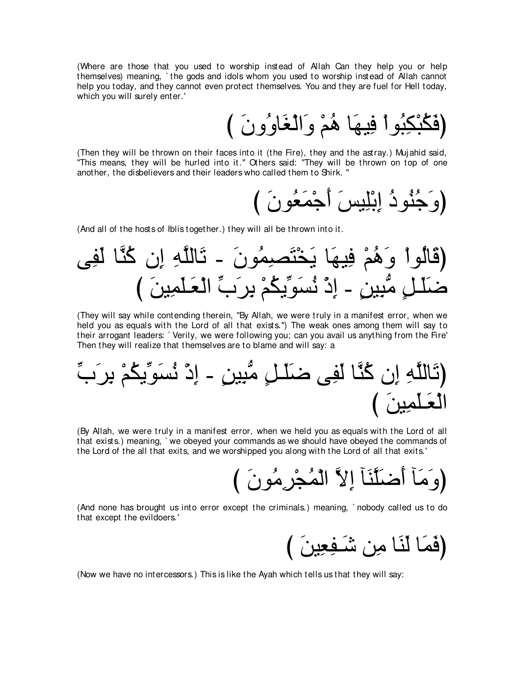(Where are those that you used to worship instead of Allah Can they help you or help themselves) meaning, ` the gods and idols whom you used to worship instead of Allah cannot help you today, and they cannot even protect themselves. You and they are fuel for Hell today, which you will surely enter.'

び ∠ラヱ⊥ヱゅ∠ピ∇ャや∠ヱ ∇ユ⊥ワ ゅ∠ヰΒ⌒プ ∇やヲ⊥ら⌒ム∇ら⊥ム∠プぴ

(Then they will be thrown on their faces into it (the Fire), they and the astray.) Muj ahid said, "This means, they will be hurled into it.'' Others said: "They will be thrown on top of one another, the disbelievers and their leaders who called them to Shirk. ''

び ∠ラヲ⊥バ∠ヨ∇ィ∠ぺ ∠ザΒ⌒ヤ∇よ⌒ま ⊥キヲ⊥レ⊥ィ∠ヱぴ

(And all of the hosts of Iblis together.) they will all be thrown into it.

ヴ⌒ヘ∠ャ ゅzレ⊥ミ ラ⌒ま ⌒ヮzヤャゅ∠ゎ - ∠ラヲ⊥ヨ⌒ダ∠わ∇ガ∠Α ゅ∠ヰΒ⌒プ ∇ユ⊥ワ∠ヱ ∇やヲ⊥ャゅ∠ホぴ び ∠リΒ⌒ヨ∠ヤ⇒∠バ∇ャや あゆ∠ゲ⌒よ ∇ユ⊥ムΑあヲ∠ジ⊥ル ∇ク⌒ま - ∃リΒ⌒らぁョ ∃モ⇒∠ヤ∠ッ

(They will say while contending therein, "By Allah, we were truly in a manifest error, when we held you as equals with the Lord of all that exists.'') The weak ones among them will say to their arrogant leaders: ` Verily, we were following you; can you avail us anything from the Fire' Then they will realize that themselves are to blame and will say: a

あゆ∠ゲ⌒よ ∇ユ⊥ムΑあヲ∠ジ⊥ル ∇ク⌒ま - ∃リΒ⌒らぁョ ∃モ⇒∠ヤ∠ッ ヴ⌒ヘ∠ャ ゅzレ⊥ミ ラ⌒ま ⌒ヮzヤャゅ∠ゎぴ び ∠リΒ⌒ヨ∠ヤ⇒∠バ∇ャや

(By Allah, we were truly in a manifest error, when we held you as equals with the Lord of all that exists.) meaning, ` we obeyed your commands as we should have obeyed the commands of the Lord of the all that exits, and we worshipped you along with the Lord of all that exits.'

び ∠ラヲ⊥ョ⌒ゲ∇イ⊥ヨ∇ャや zΙ⌒ま べ∠レzヤ∠ッ∠ぺ べ∠ョ∠ヱぴ

(And none has brought us into error except the criminals.) meaning, ` nobody called us to do that except the evildoers.'

(فَمَا لَنَا مِن شَـفِعِينَ )

(Now we have no intercessors.) This is like the Ayah which tells us that they will say: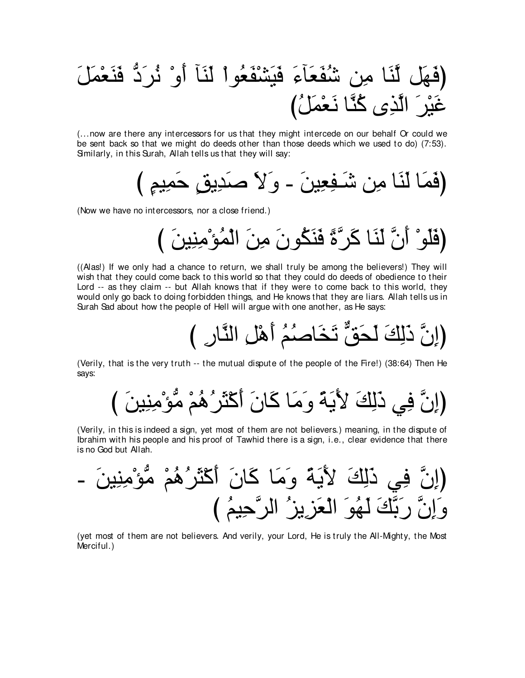∠モ∠ヨ∇バ∠レ∠プ ぁキ∠ゲ⊥ル ∇ヱ∠ぺ べ∠レ∠ャ ∇やヲ⊥バ∠ヘ∇ゼ∠Β∠プ ∠¬べ∠バ∠ヘ⊥セ リ⌒ョ ゅ∠レzャ モ∠ヰ∠プぴ び⊥モ∠ヨ∇バ∠ル ゅzレ⊥ミ ン⌒グzャや ∠ゲ∇Β∠ビ

(...now are there any intercessors for us that they might intercede on our behalf Or could we be sent back so that we might do deeds other than those deeds which we used to do) (7:53). Smilarly, in this Surah, Allah tells us that they will say:

び ∃ユΒ⌒ヨ∠ェ ∃ペΑ⌒ギ∠タ ∠Ι∠ヱ - ∠リΒ⌒バ⌒ヘ⇒∠セ リ⌒ョ ゅ∠レ∠ャ ゅ∠ヨ∠プぴ

(Now we have no intercessors, nor a close friend.)

び ∠リΒ⌒レ⌒ョ∇ぽ⊥ヨ∇ャや ∠リ⌒ョ ∠ラヲ⊥ム∠レ∠プ ⇔りzゲ∠ミ ゅ∠レ∠ャ zラ∠ぺ ∇ヲ∠ヤ∠プぴ

((Alas!) If we only had a chance to return, we shall truly be among the believers!) They will wish that they could come back to this world so that they could do deeds of obedience to their Lord -- as they claim -- but Allah knows that if they were to come back to this world, they would only go back to doing forbidden things, and He knows that they are liars. Allah tells us in Surah Sad about how the people of Hell will argue with one another, as He says:

び ⌒ケゅzレャや ⌒モ∇ワ∠ぺ ⊥ユ⊥タゅ∠ガ∠ゎ xペ∠エ∠ャ ∠マ⌒ャ∠ク zラ⌒まぴ

(Verily, that is the very truth -- the mutual dispute of the people of the Fire!) (38:64) Then He says:

び ∠リΒ⌒レ⌒ョ∇ぽぁョ ∇ユ⊥ワ⊥ゲ∠ん∇ミ∠ぺ ∠ラゅ∠ミ ゅ∠ョ∠ヱ ⇔る∠Α∠Ε ∠マ⌒ャ∠ク ヶ⌒プ zラ⌒まぴ

(Verily, in this is indeed a sign, yet most of them are not believers.) meaning, in the dispute of Ibrahim with his people and his proof of Tawhid there is a sign, i.e., clear evidence that there is no God but Allah.

- ∠リΒ⌒レ⌒ョ∇ぽぁョ ∇ユ⊥ワ⊥ゲ∠ん∇ミ∠ぺ ∠ラゅ∠ミ ゅ∠ョ∠ヱ ⇔る∠Α∠Ε ∠マ⌒ャ∠ク ヶ⌒プ zラ⌒まぴ び ⊥ユΒ⌒ェzゲャや ⊥ゴΑ⌒ゴ∠バ∇ャや ∠ヲ⊥ヰ∠ャ ∠マzよ∠ケ zラ⌒ま∠ヱ

(yet most of them are not believers. And verily, your Lord, He is truly the All-Mighty, the Most Merciful.)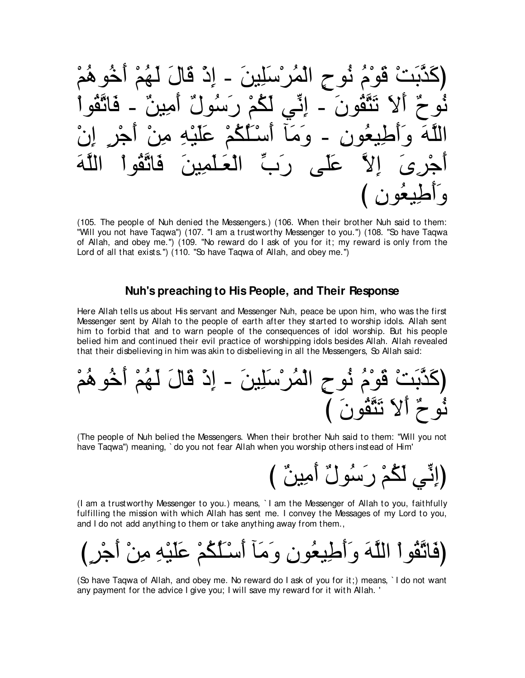∇ユ⊥ワヲ⊥カ∠ぺ ∇ユ⊥ヰ∠ャ ∠メゅ∠ホ ∇ク⌒ま - ∠リΒ⌒ヤ∠シ∇ゲ⊥ヨ∇ャや ∃ゥヲ⊥ル ⊥ュ∇ヲ∠ホ ∇ろ∠よzグ∠ミぴ ∇やヲ⊥ボzゎゅ∠プ - ∀リΒ⌒ョ∠ぺ ∀メヲ⊥シ∠ケ ∇ユ⊥ム∠ャ ヶあル⌒ま - ∠ラヲ⊥ボzわ∠ゎ ∠Ι∠ぺ ∀ゥヲ⊥ル ∇ラ⌒ま ∃ゲ∇ィ∠ぺ ∇リ⌒ョ ⌒ヮ∇Β∠ヤ∠ハ ∇ユ⊥ム⊥ヤ∠⇒∇シ∠ぺ べ∠ョ∠ヱ - ⌒ラヲ⊥バΒ⌒デ∠ぺ∠ヱ ∠ヮzヤャや ∠ヮzヤャや ∇やヲ⊥ボzゎゅ∠プ ∠リΒ⌒ヨ∠ヤ⇒∠バ∇ャや あゆ∠ケ ヴ∠ヤ∠ハ zΙ⌒ま ∠ン⌒ゲ∇ィ∠ぺ び ⌒ラヲ⊥バΒ⌒デ∠ぺ∠ヱ

(105. The people of Nuh denied the Messengers.) (106. When their brother Nuh said to them: "Will you not have Taqwa'') (107. "I am a trustworthy Messenger to you.'') (108. "So have Taqwa of Allah, and obey me.'') (109. "No reward do I ask of you for it; my reward is only from the Lord of all that exists.") (110. "So have Taqwa of Allah, and obey me.")

### **Nuh's preaching to His People, and Their Response**

Here Allah tells us about His servant and Messenger Nuh, peace be upon him, who was the first Messenger sent by Allah to the people of earth after they started to worship idols. Allah sent him to forbid that and to warn people of the consequences of idol worship. But his people belied him and continued their evil practice of worshipping idols besides Allah. Allah revealed that their disbelieving in him was akin to disbelieving in all the Messengers, So Allah said:

∇ユ⊥ワヲ⊥カ∠ぺ ∇ユ⊥ヰ∠ャ ∠メゅ∠ホ ∇ク⌒ま - ∠リΒ⌒ヤ∠シ∇ゲ⊥ヨ∇ャや ∃ゥヲ⊥ル ⊥ュ∇ヲ∠ホ ∇ろ∠よzグ∠ミぴ び ∠ラヲ⊥ボzわ∠ゎ ∠Ι∠ぺ ∀ゥヲ⊥ル

(The people of Nuh belied the Messengers. When their brother Nuh said to them: "Will you not have Taqwa'') meaning, ` do you not fear Allah when you worship others instead of Him'

(إِنَّـِي لَكُمْ رَسُولٌ أَمِينٌ )

(I am a trustworthy Messenger to you.) means, ` I am the Messenger of Allah to you, faithfully fulfilling the mission with which Allah has sent me. I convey the Messages of my Lord to you, and I do not add anything to them or take anything away from them.,



(So have Taqwa of Allah, and obey me. No reward do I ask of you for it;) means, ` I do not want any payment for the advice I give you; I will save my reward for it with Allah. '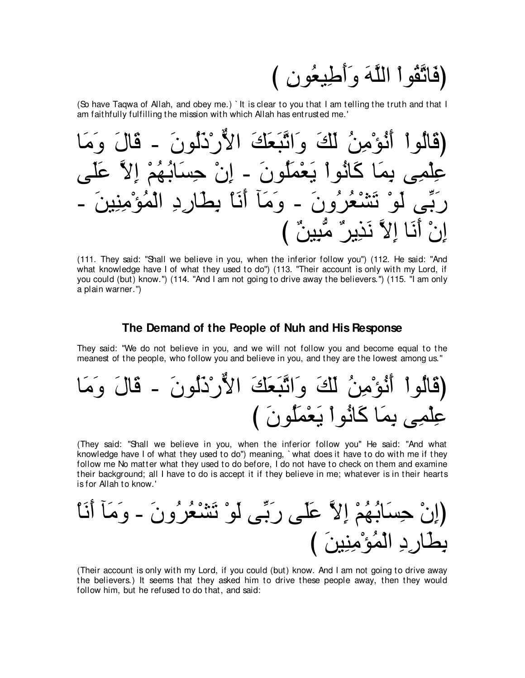(فَاتَّقُو أَ اللَّهَ وَأَطْيِعُونَ )

(So have Taqwa of Allah, and obey me.) It is clear to you that I am telling the truth and that I am faithfully fulfilling the mission with which Allah has entrusted me.'



(111. They said: "Shall we believe in you, when the inferior follow you") (112. He said: "And what knowledge have I of what they used to do") (113. "Their account is only with my Lord, if you could (but) know.") (114. "And I am not going to drive away the believers.") (115. "I am only a plain warner.")

### The Demand of the People of Nuh and His Response

They said: "We do not believe in you, and we will not follow you and become equal to the meanest of the people, who follow you and believe in you, and they are the lowest among us."

(They said: "Shall we believe in you, when the inferior follow you" He said: "And what knowledge have I of what they used to do") meaning, `what does it have to do with me if they follow me No matter what they used to do before, I do not have to check on them and examine their background; all I have to do is accept it if they believe in me; whatever is in their hearts is for Allah to know.'

(Their account is only with my Lord, if you could (but) know. And I am not going to drive away the believers.) It seems that they asked him to drive these people away, then they would follow him, but he refused to do that, and said: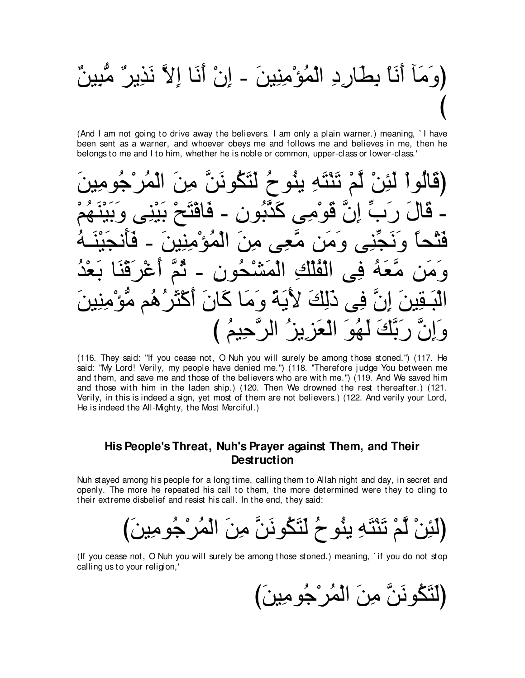# (وَ مَآ أَنَا بِطَارِ دِ الْمُؤْمِنِينَ ۔ اِنْ أَنَا إِلاَّ نَذِيرٍ ٌ مُّبِينٌ

(And I am not going to drive away the believers. I am only a plain warner.) meaning, I have been sent as a warner, and whoever obeys me and follows me and believes in me, then he belongs to me and I to him, whether he is noble or common, upper-class or lower-class.

(قَالُو أَ لَئِنْ لَمْ تَنْتَهِ يِنُو حُ لَتَكُونَنَّ مِنَ اِنٌ قُوْمِي كَدَّبُو نِ - فَاقْتَ المُهُ ه ومن مُعِے مِن عَهُ فِي الْفُلْكِ الْمَشْحُونِ -ِ آگ كَ لأَيَّةً وَمَا كَانَ أَكْثَرُ لَّهُوَ الْعَزِيزُ الرَّحِيمُ )

(116. They said: "If you cease not, O Nuh you will surely be among those stoned.") (117. He said: "My Lord! Verily, my people have denied me.") (118. "Therefore judge You between me and them, and save me and those of the believers who are with me.") (119. And We saved him and those with him in the laden ship.) (120. Then We drowned the rest thereafter.) (121. Verily, in this is indeed a sign, yet most of them are not believers.) (122. And verily your Lord, He is indeed the All-Mighty, the Most Merciful.)

## His People's Threat, Nuh's Prayer against Them, and Their **Destruction**

Nuh stayed among his people for a long time, calling them to Allah night and day, in secret and openly. The more he repeated his call to them, the more determined were they to cling to their extreme disbelief and resist his call. In the end, they said:

(لَئِنْ لَمْ تَنْتَهِ يِنُو حُ لَتَكُونَنَّ مِنَ الْمُرْجُومِينَ)

(If you cease not, O Nuh you will surely be among those stoned.) meaning, `if you do not stop calling us to your religion,'

(لَتَكُونَنَّ مِنَ الْمُرْجُومِينَ)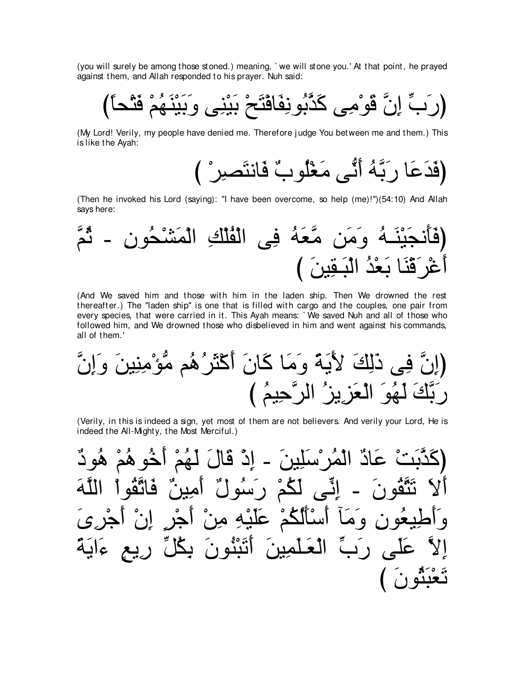(you will surely be among those stoned.) meaning, `we will stone you.' At that point, he prayed against them, and Allah responded to his prayer. Nuh said:

(My Lord! Verily, my people have denied me. Therefore judge You between me and them.) This is like the Ayah:

(Then he invoked his Lord (saying): "I have been overcome, so help (me)!")(54:10) And Allah says here:



(And We saved him and those with him in the laden ship. Then We drowned the rest thereafter.) The "laden ship" is one that is filled with cargo and the couples, one pair from every species, that were carried in it. This Ayah means: `We saved Nuh and all of those who followed him, and We drowned those who disbelieved in him and went against his commands, all of them.'

(Verily, in this is indeed a sign, yet most of them are not believers. And verily your Lord, He is indeed the All-Mighty, the Most Merciful.)

عَادٌ الْمُر ْسَلِينَ - إِذْ قَالَ لَهُمْ أَخُو هُمْ هُو دٌ ائیے لگٹر رسولٌ أَسْأَلُكُمْ عَلَيْهِ مِنْ رَبِّ الْعَلّْمِينَ أَتَبْنُونَ ريع ءاية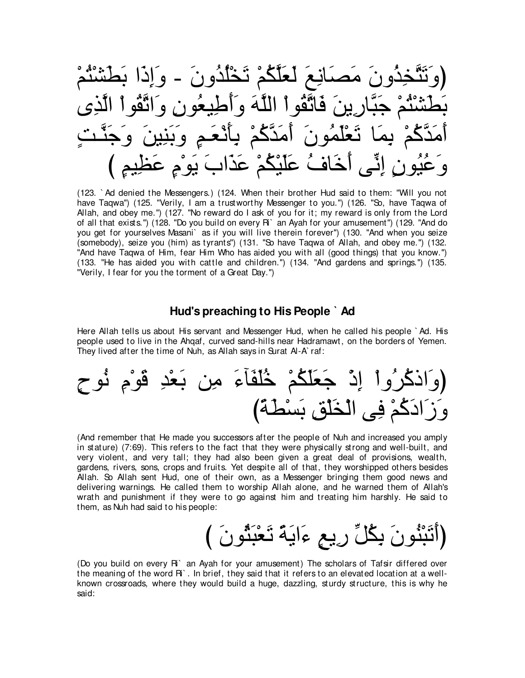∇ユ⊥わ∇ゼ∠ト∠よ や∠ク⌒ま∠ヱ - ∠ラヱ⊥ギ⊥ヤ∇ガ∠ゎ ∇ユ⊥ムzヤ∠バ∠ャ ∠ノ⌒ルゅ∠ダ∠ョ ∠ラヱ⊥グ⌒ガzわ∠ゎ∠ヱぴ ン⌒グzャや ∇やヲ⊥ボzゎや∠ヱ ⌒ラヲ⊥バΒ⌒デ∠ぺ∠ヱ ∠ヮzヤャや ∇やヲ⊥ボzゎゅ∠プ ∠リΑ⌒ケゅzら∠ィ ∇ユ⊥わ∇ゼ∠ト∠よ ∃ろ⇒zレ∠ィ∠ヱ ∠リΒ⌒レ∠よ∠ヱ ∃ユ⇒∠バ∇ル∠ほ⌒よ ∇ユ⊥ミzギ∠ョ∠ぺ ∠ラヲ⊥ヨ∠ヤ∇バ∠ゎ ゅ∠ヨ⌒よ ∇ユ⊥ミzギ∠ョ∠ぺ び ∃ユΒ⌒ヌ∠ハ ∃ュ∇ヲ∠Α ∠ゆや∠グ∠ハ ∇ユ⊥ム∇Β∠ヤ∠ハ ⊥フゅ∠カ∠ぺ ヴあル⌒ま ∃ラヲ⊥Β⊥ハ∠ヱ

(123. ` Ad denied the Messengers.) (124. When their brother Hud said to them: "Will you not have Taqwa") (125. "Verily, I am a trustworthy Messenger to you.") (126. "So, have Taqwa of Allah, and obey me.'') (127. "No reward do I ask of you for it; my reward is only from the Lord of all that exists.") (128. "Do you build on every Ri` an Ayah for your amusement") (129. "And do you get for yourselves Masani` as if you will live therein forever'') (130. "And when you seize (somebody), seize you (him) as tyrants'') (131. "So have Taqwa of Allah, and obey me.'') (132. "And have Taqwa of Him, fear Him Who has aided you with all (good things) that you know.'') (133. "He has aided you with cattle and children.'') (134. "And gardens and springs.'') (135. "Verily, I fear for you the torment of a Great Day.'')

### **Hud's preaching to His People ` Ad**

Here Allah tells us about His servant and Messenger Hud, when he called his people ` Ad. His people used to live in the Ahqaf, curved sand-hills near Hadramawt, on the borders of Yemen. They lived after the time of Nuh, as Allah says in Surat Al-A' raf:

∃ゥヲ⊥ル ⌒ュ∇ヲ∠ホ ⌒ギ∇バ∠よ リ⌒ョ ∠¬べ∠ヘ∠ヤ⊥カ ∇ユ⊥ム∠ヤ∠バ∠ィ ∇ク⌒ま ∇やヱ⊥ゲ⊥ミクや∠ヱぴ び⇔る∠ト∇ジ∠よ ⌒ペ∇ヤ∠ガ∇ャや ヴ⌒プ ∇ユ⊥ミ∠キや∠コ∠ヱ

(And remember that He made you successors after the people of Nuh and increased you amply in stature) (7:69). This refers to the fact that they were physically strong and well-built, and very violent, and very tall; they had also been given a great deal of provisions, wealth, gardens, rivers, sons, crops and fruits. Yet despite all of that, they worshipped others besides Allah. So Allah sent Hud, one of their own, as a Messenger bringing them good news and delivering warnings. He called them to worship Allah alone, and he warned them of Allah's wrath and punishment if they were to go against him and treating him harshly. He said to them, as Nuh had said to his people:

# (أَتَبْثُونَ بِكُلِّ رِيعٍ ءَايَةً تَعْبَثُونَ )

(Do you build on every Ri` an Ayah for your amusement) The scholars of Tafsir differed over the meaning of the word Ri` . In brief, they said that it refers to an elevated location at a wellknown crossroads, where they would build a huge, dazzling, sturdy structure, this is why he said: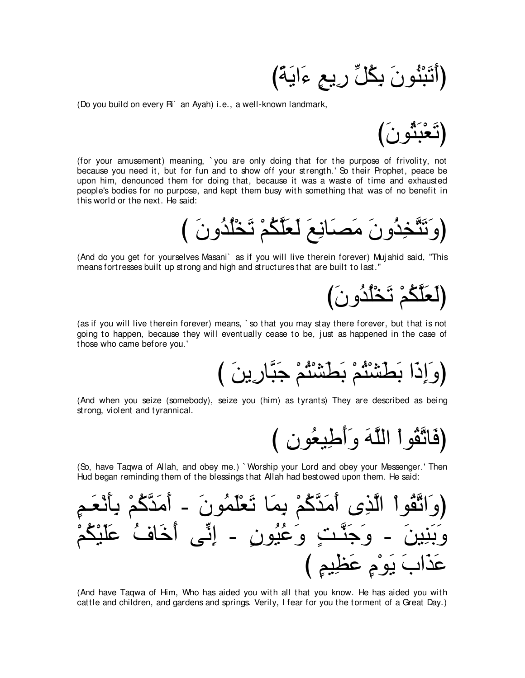(أَتَبْنُونَ بِكُلِّ رِيعٍ ءَايَةً)

(Do you build on every R<sup>o</sup> an Ayah) i.e., a well-known landmark,



(for your amusement) meaning, 'you are only doing that for the purpose of frivolity, not because you need it, but for fun and to show off your strength.' So their Prophet, peace be upon him, denounced them for doing that, because it was a waste of time and exhausted people's bodies for no purpose, and kept them busy with something that was of no benefit in this world or the next. He said:

(And do you get for yourselves Masani) as if you will live therein forever) Mujahid said, "This means for tresses built up strong and high and structures that are built to last."

(لَعَلَّكُمْ تَخْلُدُونَ)

(as if you will live therein forever) means, `so that you may stay there forever, but that is not going to happen, because they will eventually cease to be, just as happened in the case of those who came before you.'

(And when you seize (somebody), seize you (him) as tyrants) They are described as being strong, violent and tyrannical.

(فَاتَّقُواْ اللَّهَ وَأَطِيعُونِ )

(So, have Tagwa of Allah, and obey me.) `Worship your Lord and obey your Messenger.' Then Hud began reminding them of the blessings that Allah had bestowed upon them. He said:

(And have Tagwa of Him, Who has aided you with all that you know. He has aided you with cattle and children, and gardens and springs. Verily, I fear for you the torment of a Great Day.)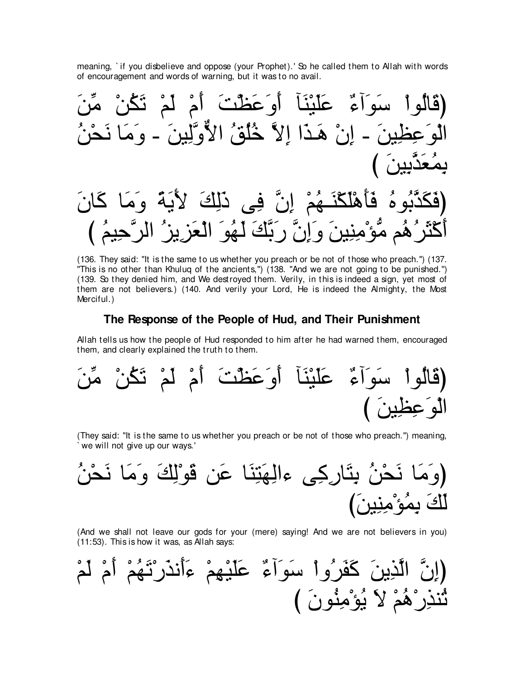meaning, `if you disbelieve and oppose (your Prophet).' So he called them to Allah with words of encouragement and words of warning, but it was to no avail.

(136. They said: "It is the same to us whether you preach or be not of those who preach.") (137. "This is no other than Khuluq of the ancients,") (138. "And we are not going to be punished.") (139. So they denied him, and We destroyed them. Verily, in this is indeed a sign, yet most of them are not believers.) (140. And verily your Lord, He is indeed the Almighty, the Most Merciful.)

### The Response of the People of Hud, and Their Punishment

Allah tells us how the people of Hud responded to him after he had warned them, encouraged them, and clearly explained the truth to them.

(They said: "It is the same to us whether you preach or be not of those who preach.") meaning, 'we will not give up our ways.'

(And we shall not leave our gods for your (mere) saying! And we are not believers in you) (11:53). This is how it was, as Allah says: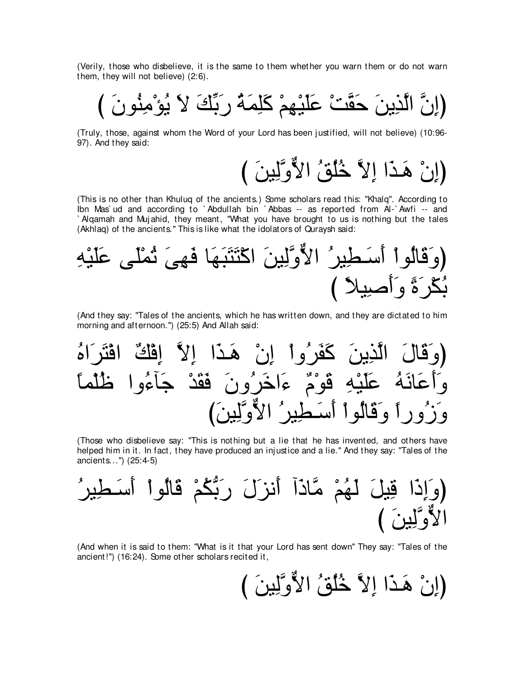(Verily, those who disbelieve, it is the same to them whether you warn them or do not warn them, they will not believe) (2:6).

び ∠ラヲ⊥レ⌒ョ∇ぽ⊥Α ∠Ι ∠マあよ∠ケ ⊥る∠ヨ⌒ヤ∠ミ ∇ユ⌒ヰ∇Β∠ヤ∠ハ ∇ろzボ∠ェ ∠リΑ⌒グzャや zラ⌒まぴ

(Truly, those, against whom the Word of your Lord has been j ustified, will not believe) (10:96- 97). And they said:

(إِنْ هَـٰذَا إِلاَّ خُلُقُ الأَوَّلِينَ )

(This is no other than Khuluq of the ancients.) Some scholars read this: "Khalq''. According to Ibn Mas` ud and according to ` Abdullah bin ` Abbas -- as reported from Al-` Awfi -- and ` Alqamah and Muj ahid, they meant, "What you have brought to us is nothing but the tales (Akhlaq) of the ancients.'' This is like what the idolators of Quraysh said:



(And they say: "Tales of the ancients, which he has written down, and they are dictated to him morning and afternoon.") (25:5) And Allah said:

⊥ロや∠ゲ∠わ∇プや ∀マ∇プ⌒ま zΙ⌒ま や∠グ⇒∠ワ ∇ラ⌒ま ∇やヱ⊥ゲ∠ヘ∠ミ ∠リΑ⌒グzャや ∠メゅ∠ホ∠ヱぴ ⇔ゅヨ∇ヤ⊥ニ やヱ⊥¬べ∠ィ ∇ギ∠ボ∠プ ∠ラヱ⊥ゲ∠カや∠¬ ∀ュ∇ヲ∠ホ ⌒ヮ∇Β∠ヤ∠ハ ⊥ヮ∠ルゅ∠ハ∠ぺ∠ヱ び∠リΒ⌒ャzヱxΙや ⊥ゲΒ⌒ト⇒∠シ∠ぺ ∇やヲ⊥ャゅ∠ホ∠ヱ ⇔やケヱ⊥コ∠ヱ

(Those who disbelieve say: "This is nothing but a lie that he has invented, and others have helped him in it. In fact, they have produced an injustice and a lie.'' And they say: "Tales of the ancients...'') (25:4-5)

⊥ゲΒ⌒ト⇒∠シ∠ぺ ∇やヲ⊥ャゅ∠ホ ∇ユ⊥ムぁよ∠ケ ∠メ∠ゴル∠ぺ へ∠クゅzョ ∇ユ⊥ヰ∠ャ ∠モΒ⌒ホ や∠ク⌒ま∠ヱぴ び ∠リΒ⌒ャzヱxΙや

(And when it is said to them: "What is it that your Lord has sent down'' They say: "Tales of the ancient!'') (16:24). Some other scholars recited it,

(إِنْ هَـٰذَا إِلاَّ خُلُقُ الأَوَّلِينَ )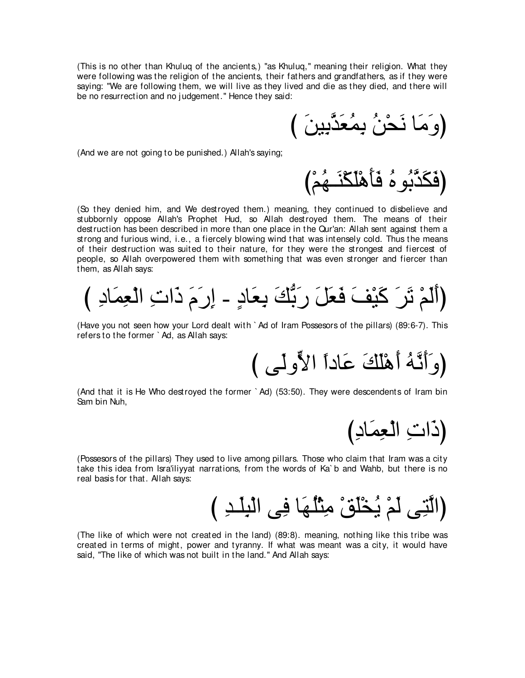(This is no other than Khuluq of the ancients,) "as Khuluq,'' meaning their religion. What they were following was the religion of the ancients, their fathers and grandfathers, as if they were saying: "We are following them, we will live as they lived and die as they died, and there will be no resurrection and no j udgement.'' Hence they said:

(وَمَا نَحْنُ بِمُعَدَّبِينَ )

(And we are not going to be punished.) Allah's saying;

(فَكَدَّبُو هُ فَأَهْلَكَذَ مُحْ)

(So they denied him, and We destroyed them.) meaning, they continued to disbelieve and stubbornly oppose Allah's Prophet Hud, so Allah destroyed them. The means of their destruction has been described in more than one place in the Qur'an: Allah sent against them a strong and furious wind, i.e., a fiercely blowing wind that was intensely cold. Thus the means of their destruction was suited to their nature, for they were the strongest and fiercest of people, so Allah overpowered them with something that was even stronger and fiercer than them, as Allah says:

び ⌒キゅ∠ヨ⌒バ∇ャや ⌒れや∠ク ∠ュ∠ケ⌒ま - ∃キゅ∠バ⌒よ ∠マぁよ∠ケ ∠モ∠バ∠プ ∠ブ∇Β∠ミ ∠ゲ∠ゎ ∇ユ∠ャ∠ぺぴ

(Have you not seen how your Lord dealt with ` Ad of Iram Possesors of the pillars) (89:6-7). This refers to the former ` Ad, as Allah says:

(وَ أَنَّهُ أَهْلَكَ عَاداً الأَّولِّي )

(And that it is He Who destroyed the former ` Ad) (53:50). They were descendents of Iram bin Sam bin Nuh,

(ذَاتِ الْعِمَادِ)

(Possesors of the pillars) They used to live among pillars. Those who claim that Iram was a city take this idea from Isra'iliyyat narrations, from the words of Ka` b and Wahb, but there is no real basis for that. Allah says:

(الَّتِي لَمْ يُخْلُقْ مِثْلُهَا فِي الْبِلَـدِ )

(The like of which were not created in the land) (89:8). meaning, nothing like this tribe was created in terms of might, power and tyranny. If what was meant was a city, it would have said, "The like of which was not built in the land." And Allah says: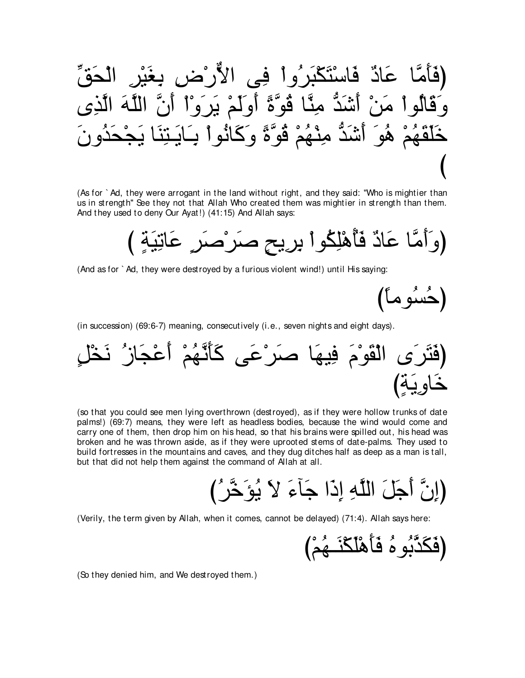(فَأَمَّا عَادٌ فَاسُتَكَبرُواٌ في الأُرُضِ يغَبُرِ الُحَقِّ
$$
\vec{\boldsymbol{\xi}}_{\boldsymbol{\xi}} = \frac{1}{2} \left( \sum_{i=1}^{n} \hat{\boldsymbol{\xi}}_{\boldsymbol{\xi}} - \sum_{i=1}^{n} \hat{\boldsymbol{\xi}}_{\boldsymbol{\xi}} - \sum_{i=1}^{n} \hat{\boldsymbol{\xi}}_{\boldsymbol{\xi}} - \sum_{i=1}^{n} \hat{\boldsymbol{\xi}}_{\boldsymbol{\xi}} - \sum_{i=1}^{n} \hat{\boldsymbol{\xi}}_{\boldsymbol{\xi}} - \sum_{i=1}^{n} \hat{\boldsymbol{\xi}}_{\boldsymbol{\xi}} - \sum_{i=1}^{n} \hat{\boldsymbol{\xi}}_{\boldsymbol{\xi}} - \sum_{i=1}^{n} \hat{\boldsymbol{\xi}}_{\boldsymbol{\xi}} - \sum_{i=1}^{n} \hat{\boldsymbol{\xi}}_{\boldsymbol{\xi}} - \sum_{i=1}^{n} \hat{\boldsymbol{\xi}}_{\boldsymbol{\xi}} - \sum_{i=1}^{n} \hat{\boldsymbol{\xi}}_{\boldsymbol{\xi}} - \sum_{i=1}^{n} \hat{\boldsymbol{\xi}}_{\boldsymbol{\xi}} - \sum_{i=1}^{n} \hat{\boldsymbol{\xi}}_{\boldsymbol{\xi}} - \sum_{i=1}^{n} \hat{\boldsymbol{\xi}}_{\boldsymbol{\xi}} - \sum_{i=1}^{n} \hat{\boldsymbol{\xi}}_{\boldsymbol{\xi}} - \sum_{i=1}^{n} \hat{\boldsymbol{\xi}}_{\boldsymbol{\xi}} - \sum_{i=1}^{n} \hat{\boldsymbol{\xi}}_{\boldsymbol{\xi}} - \sum_{i=1}^{n} \hat{\boldsymbol{\xi}}_{\boldsymbol{\xi}} - \sum_{i=1}^{n} \hat{\boldsymbol{\xi}}_{\boldsymbol{\xi}} - \sum_{i=1}^{n} \hat{\boldsymbol{\xi}}_{\boldsymbol{\xi}} - \sum_{i=1}^{n} \hat{\boldsymbol{\xi}}_{\boldsymbol{\xi}} - \sum_{i=1}^{n} \hat{\boldsymbol{\xi}}_{\boldsymbol{\xi}} - \sum_{i=1}^{n} \hat{\boldsymbol{\xi}}_{\boldsymbol{\xi}} - \sum_{i=1}^{n} \hat{\boldsymbol{\xi}}_{\boldsymbol{\xi}} - \sum_{i=1}^{n} \hat{\boldsymbol{\xi}}_{\boldsymbol{\xi}} - \sum_{i=1}^{n} \hat{\boldsymbol{\xi}}_{\boldsymbol{\xi}} - \sum_{i=1}^{n
$$

(As for ` Ad, they were arrogant in the land without right, and they said: "Who is mightier than us in strength'' See they not that Allah Who created them was mightier in strength than them. And they used to deny Our Ayat!) (41:15) And Allah says:

(وَأَمَّا عَادٌ فَأَهْلِكُواْ بِرِيحٍ صَرْصَرٍ عَاتِيَةٍ )

(And as for ` Ad, they were destroyed by a furious violent wind!) until His saying:

(حُسُوماً)

(in succession) (69:6-7) meaning, consecutively (i.e., seven nights and eight days).

∃モ∇ガ∠ル ⊥コゅ∠イ∇ハ∠ぺ ∇ユ⊥ヰzル∠ほ∠ミ ヴ∠ハ∇ゲ∠タ ゅ∠ヰΒ⌒プ ∠ュ∇ヲ∠ボ∇ャや ン∠ゲ∠わ∠プぴ び∃る∠Α⌒ヱゅ∠カ

(so that you could see men lying overthrown (destroyed), as if they were hollow trunks of date palms!) (69:7) means, they were left as headless bodies, because the wind would come and carry one of them, then drop him on his head, so that his brains were spilled out, his head was broken and he was thrown aside, as if they were uprooted stems of date-palms. They used to build fortresses in the mountains and caves, and they dug ditches half as deep as a man is tall, but that did not help them against the command of Allah at all.

び⊥ゲzカ∠ぽ⊥Α ∠Ι ∠¬べ∠ィ や∠ク⌒ま ⌒ヮzヤャや ∠モ∠ィ∠ぺ zラ⌒まぴ

(Verily, the term given by Allah, when it comes, cannot be delayed) (71:4). Allah says here:

び∇ユ⊥ヰ⇒∠レ∇ム∠ヤ∇ワ∠ほ∠プ ⊥ロヲ⊥よzグ∠ム∠プぴ

(So they denied him, and We destroyed them.)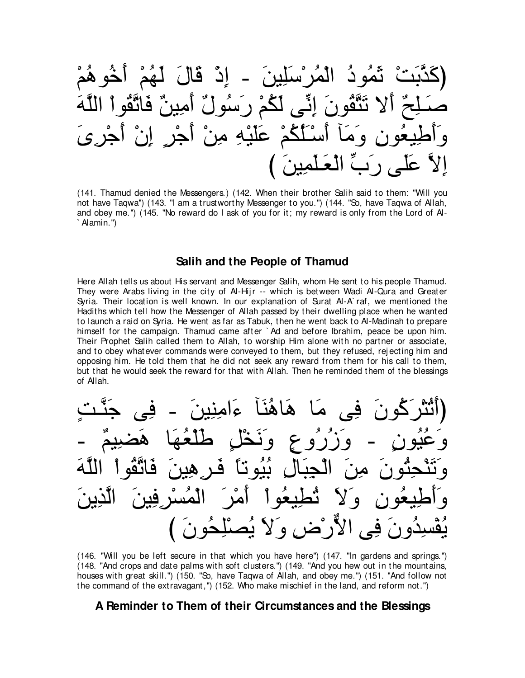∇ユ⊥ワヲ⊥カ∠ぺ ∇ユ⊥ヰ∠ャ ∠メゅ∠ホ ∇ク⌒ま - ∠リΒ⌒ヤ∠シ∇ゲ⊥ヨ∇ャや ⊥キヲ⊥ヨ∠を ∇ろ∠よzグ∠ミぴ ∠ヮzヤャや ∇やヲ⊥ボzゎゅ∠プ ∀リΒ⌒ョ∠ぺ ∀メヲ⊥シ∠ケ ∇ユ⊥ム∠ャ ヴあル⌒ま ∠ラヲ⊥ボzわ∠ゎ Ι∠ぺ ∀ウ⌒ヤ⇒∠タ ∠ン⌒ゲ∇ィ∠ぺ ∇ラ⌒ま ∃ゲ∇ィ∠ぺ ∇リ⌒ョ ⌒ヮ∇Β∠ヤ∠ハ ∇ユ⊥ム⊥ヤ∠⇒∇シ∠ぺ べ∠ョ∠ヱ ⌒ラヲ⊥バΒ⌒デ∠ぺ∠ヱ び ∠リΒ⌒ヨ∠ヤ⇒∠バ∇ャや あゆ∠ケ ヴ∠ヤ∠ハ zΙ⌒ま

(141. Thamud denied the Messengers.) (142. When their brother Salih said to them: "Will you not have Taqwa'') (143. "I am a trustworthy Messenger to you.'') (144. "So, have Taqwa of Allah, and obey me.") (145. "No reward do I ask of you for it; my reward is only from the Lord of AI-` Alamin.'')

### **Salih and the People of Thamud**

Here Allah tells us about His servant and Messenger Salih, whom He sent to his people Thamud. They were Arabs living in the city of Al-Hijr -- which is between Wadi Al-Qura and Greater Syria. Their location is well known. In our explanation of Surat Al-A` raf, we mentioned the Hadiths which tell how the Messenger of Allah passed by their dwelling place when he wanted to launch a raid on Syria. He went as far as Tabuk, then he went back to Al-Madinah to prepare himself for the campaign. Thamud came after ` Ad and before Ibrahim, peace be upon him. Their Prophet Salih called them to Allah, to worship Him alone with no partner or associate, and to obey whatever commands were conveyed to them, but they refused, rej ecting him and opposing him. He told them that he did not seek any reward from them for his call to them, but that he would seek the reward for that with Allah. Then he reminded them of the blessings of Allah.

∃ろ⇒zレ∠ィ ヴ⌒プ - ∠リΒ⌒レ⌒ョや∠¬ べ∠レ⊥ワゅ∠ワ ゅ∠ョ ヴ⌒プ ∠ラヲ⊥ミ∠ゲ∇わ⊥ゎ∠ぺぴ - ∀ユΒ⌒ツ∠ワ ゅ∠ヰ⊥バ∇ヤ∠デ ∃モ∇ガ∠ル∠ヱ ∃ネヱ⊥ケ⊥コ∠ヱ - ∃ラヲ⊥Β⊥ハ∠ヱ ∠ヮzヤャや ∇やヲ⊥ボzゎゅ∠プ ∠リΒ⌒ワ⌒ゲ⇒∠プ ⇔ゅゎヲ⊥Β⊥よ ⌒メゅ∠ら⌒イ∇ャや ∠リ⌒ョ ∠ラヲ⊥わ⌒エ∇レ∠ゎ∠ヱ ∠リΑ⌒グzャや ∠リΒ⌒プ⌒ゲ∇ジ⊥ヨ∇ャや ∠ゲ∇ョ∠ぺ ∇やヲ⊥バΒ⌒ト⊥ゎ ∠Ι∠ヱ ⌒ラヲ⊥バΒ⌒デ∠ぺ∠ヱ び ∠ラヲ⊥エ⌒ヤ∇ダ⊥Α ∠Ι∠ヱ ⌒チ∇ケxΙや ヴ⌒プ ∠ラヱ⊥ギ⌒ジ∇ヘ⊥Α

(146. "Will you be left secure in that which you have here'') (147. "In gardens and springs.'') (148. "And crops and date palms with soft clusters.'') (149. "And you hew out in the mountains, houses with great skill.'') (150. "So, have Taqwa of Allah, and obey me.'') (151. "And follow not the command of the extravagant,'') (152. Who make mischief in the land, and reform not.'')

### **A Reminder to Them of their Circumstances and the Blessings**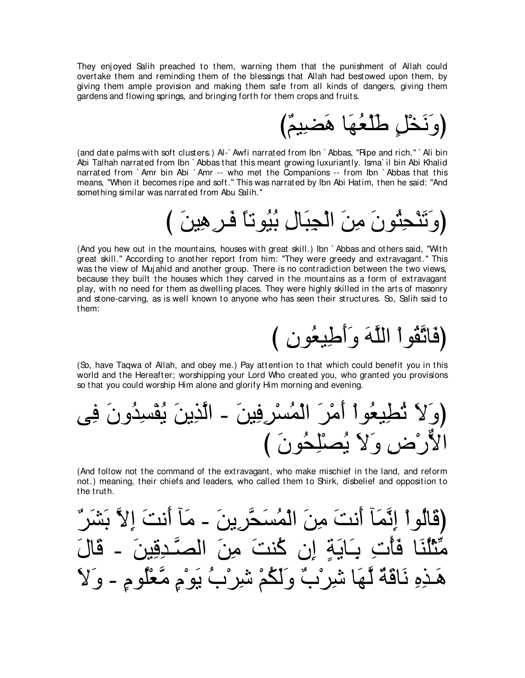They enj oyed Salih preached to them, warning them that the punishment of Allah could overtake them and reminding them of the blessings that Allah had bestowed upon them, by giving them ample provision and making them safe from all kinds of dangers, giving them gardens and flowing springs, and bringing forth for them crops and fruits.



(and date palms with soft clusters.) Al-` Awfi narrated from Ibn ` Abbas, "Ripe and rich.'' ` Ali bin Abi Talhah narrated from Ibn ` Abbas that this meant growing luxuriantly. Isma` il bin Abi Khalid narrated from `Amr bin Abi `Amr -- who met the Companions -- from Ibn `Abbas that this means, "When it becomes ripe and soft.'' This was narrated by Ibn Abi Hatim, then he said: "And something similar was narrated from Abu Salih.''

び ∠リΒ⌒ワ⌒ゲ⇒∠プ ⇔ゅゎヲ⊥Β⊥よ ⌒メゅ∠ら⌒イ∇ャや ∠リ⌒ョ ∠ラヲ⊥わ⌒エ∇レ∠ゎ∠ヱぴ

(And you hew out in the mountains, houses with great skill.) Ibn ` Abbas and others said, "With great skill.'' According to another report from him: "They were greedy and extravagant.'' This was the view of Muj ahid and another group. There is no contradiction between the two views, because they built the houses which they carved in the mountains as a form of extravagant play, with no need for them as dwelling places. They were highly skilled in the arts of masonry and stone-carving, as is well known to anyone who has seen their structures. So, Salih said to them:

(فَاتَّقُواْ اللَّهَ وَأَطِيعُون )

(So, have Taqwa of Allah, and obey me.) Pay attention to that which could benefit you in this world and the Hereafter; worshipping your Lord Who created you, who granted you provisions so that you could worship Him alone and glorify Him morning and evening.

ヴ⌒プ ∠ラヱ⊥ギ⌒ジ∇ヘ⊥Α ∠リΑ⌒グzャや - ∠リΒ⌒プ⌒ゲ∇ジ⊥ヨ∇ャや ∠ゲ∇ョ∠ぺ ∇やヲ⊥バΒ⌒ト⊥ゎ ∠Ι∠ヱぴ び ∠ラヲ⊥エ⌒ヤ∇ダ⊥Α ∠Ι∠ヱ ⌒チ∇ケxΙや

(And follow not the command of the extravagant, who make mischief in the land, and reform not.) meaning, their chiefs and leaders, who called them to Shirk, disbelief and opposition to the truth.

∀ゲ∠ゼ∠よ zΙ⌒ま ∠ろル∠ぺ べ∠ョ - ∠リΑ⌒ゲzエ∠ジ⊥ヨ∇ャや ∠リ⌒ョ ∠ろル∠ぺ べ∠ヨzル⌒ま ∇やヲ⊥ャゅ∠ホぴ ∠メゅ∠ホ - ∠リΒ⌒ホ⌒ギ⇒zダャや ∠リ⌒ョ ∠ろレ⊥ミ ラ⌒ま ∃る∠Αゅ∠⇒⌒よ ⌒れ∇ほ∠プ ゅ∠レ⊥ヤ∇んあョ ∠Ι∠ヱ - ∃ュヲ⊥ヤ∇バzョ ∃ュ∇ヲ∠Α ⊥ゆ∇ゲ⌒セ ∇ユ⊥ム∠ャ∠ヱ ∀ゆ∇ゲ⌒セ ゅ∠ヰzャ ∀る∠ホゅ∠ル ⌒ロ⌒グ⇒∠ワ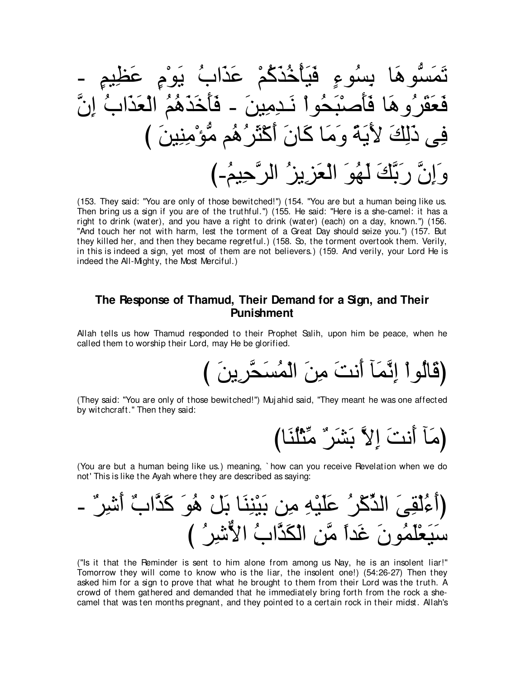- ∃ユΒ⌒ヌ∠ハ ∃ュ∇ヲ∠Α ⊥ゆや∠グ∠ハ ∇ユ⊥ミ∠グ⊥カ∇ほ∠Β∠プ ∃¬ヲ⊥ジ⌒よ ゅ∠ワヲぁジ∠ヨ∠ゎ zラ⌒ま ⊥ゆや∠グ∠バ∇ャや ⊥ユ⊥ワ∠グ∠カ∠ほ∠プ - ∠リΒ⌒ョ⌒ギ⇒∠ル ∇やヲ⊥エ∠ら∇タ∠ほ∠プ ゅ∠ワヱ⊥ゲ∠ボ∠バ∠プ び ∠リΒ⌒レ⌒ョ∇ぽぁョ ユ⊥ワ⊥ゲ∠ん∇ミ∠ぺ ∠ラゅ∠ミ ゅ∠ョ∠ヱ ⇔る∠Α∠Ε ∠マ⌒ャ∠ク ヴ⌒プ び-⊥ユΒ⌒ェzゲャや ⊥ゴΑ⌒ゴ∠バ∇ャや ∠ヲ⊥ヰ∠ャ ∠マzよ∠ケ zラ⌒ま∠ヱ

(153. They said: "You are only of those bewitched!'') (154. "You are but a human being like us. Then bring us a sign if you are of the truthful.'') (155. He said: "Here is a she-camel: it has a right to drink (water), and you have a right to drink (water) (each) on a day, known.'') (156. "And touch her not with harm, lest the torment of a Great Day should seize you.'') (157. But they killed her, and then they became regretful.) (158. So, the torment overtook them. Verily, in this is indeed a sign, yet most of them are not believers.) (159. And verily, your Lord He is indeed the All-Mighty, the Most Merciful.)

# **The Response of Thamud, Their Demand for a Sign, and Their Punishment**

Allah tells us how Thamud responded to their Prophet Salih, upon him be peace, when he called them to worship their Lord, may He be glorified.

び ∠リΑ⌒ゲzエ∠ジ⊥ヨ∇ャや ∠リ⌒ョ ∠ろル∠ぺ べ∠ヨzル⌒ま ∇やヲ⊥ャゅ∠ホぴ

(They said: "You are only of those bewitched!'') Muj ahid said, "They meant he was one affected by witchcraft.'' Then they said:

びゅ∠レ⊥ヤ∇んあョ ∀ゲ∠ゼ∠よ zΙ⌒ま ∠ろル∠ぺ べ∠ョぴ

(You are but a human being like us.) meaning, ` how can you receive Revelation when we do not' This is like the Ayah where they are described as saying:

- ∀ゲ⌒セ∠ぺ ∀ゆやzグ∠ミ ∠ヲ⊥ワ ∇モ∠よ ゅ∠レ⌒レ∇Β∠よ リ⌒ョ ⌒ヮ∇Β∠ヤ∠ハ ⊥ゲ∇ミあグャや ∠ヴ⌒ボ∇ャ⊥¬∠ぺぴ び ⊥ゲ⌒セxΙや ⊥ゆやzグ∠ム∇ャや ⌒リzョ ⇔やギ∠ビ ∠ラヲ⊥ヨ∠ヤ∇バ∠Β∠シ

("Is it that the Reminder is sent to him alone from among us Nay, he is an insolent liar!'' Tomorrow they will come to know who is the liar, the insolent one!) (54:26-27) Then they asked him for a sign to prove that what he brought to them from their Lord was the truth. A crowd of them gathered and demanded that he immediately bring forth from the rock a shecamel that was ten months pregnant, and they pointed to a certain rock in their midst. Allah's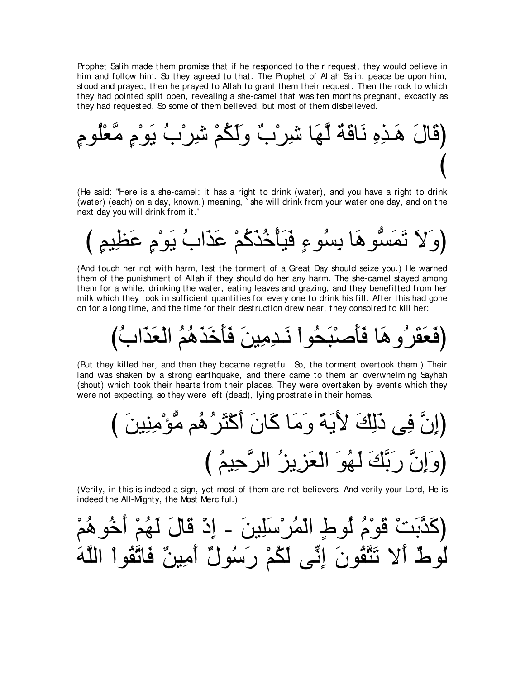Prophet Salih made them promise that if he responded to their request, they would believe in him and follow him. So they agreed to that. The Prophet of Allah Salih, peace be upon him, stood and prayed, then he prayed to Allah to grant them their request. Then the rock to which they had pointed split open, revealing a she-camel that was ten months pregnant, excactly as they had requested. So some of them believed, but most of them disbelieved.

∃ュヲ⊥ヤ∇バzョ ∃ュ∇ヲ∠Α ⊥ゆ∇ゲ⌒セ ∇ユ⊥ム∠ャ∠ヱ ∀ゆ∇ゲ⌒セ ゅ∠ヰzャ ∀る∠ホゅ∠ル ⌒ロ⌒グ⇒∠ワ ∠メゅ∠ホぴ び

(He said: "Here is a she-camel: it has a right to drink (water), and you have a right to drink (water) (each) on a day, known.) meaning, ` she will drink from your water one day, and on the next day you will drink from it.'

び ∃ユΒ⌒ヌ∠ハ ∃ュ∇ヲ∠Α ⊥ゆや∠グ∠ハ ∇ユ⊥ミ∠グ⊥カ∇ほ∠Β∠プ ∃¬ヲ⊥ジ⌒よ ゅ∠ワヲぁジ∠ヨ∠ゎ ∠Ι∠ヱぴ

(And touch her not with harm, lest the torment of a Great Day should seize you.) He warned them of the punishment of Allah if they should do her any harm. The she-camel stayed among them for a while, drinking the water, eating leaves and grazing, and they benefitted from her milk which they took in sufficient quantities for every one to drink his fill. After this had gone on for a long time, and the time for their destruction drew near, they conspired to kill her:

び⊥ゆや∠グ∠バ∇ャや ⊥ユ⊥ワ∠グ∠カ∠ほ∠プ ∠リΒ⌒ョ⌒ギ⇒∠ル ∇やヲ⊥エ∠ら∇タ∠ほ∠プ ゅ∠ワヱ⊥ゲ∠ボ∠バ∠プぴ

(But they killed her, and then they became regretful. So, the torment overtook them.) Their land was shaken by a strong earthquake, and there came to them an overwhelming Sayhah (shout) which took their hearts from their places. They were overtaken by events which they were not expecting, so they were left (dead), lying prostrate in their homes.

び ∠リΒ⌒レ⌒ョ∇ぽぁョ ユ⊥ワ⊥ゲ∠ん∇ミ∠ぺ ∠ラゅ∠ミ ゅ∠ョ∠ヱ ⇔る∠Α∠Ε ∠マ⌒ャ∠ク ヴ⌒プ zラ⌒まぴ び ⊥ユΒ⌒ェzゲャや ⊥ゴΑ⌒ゴ∠バ∇ャや ∠ヲ⊥ヰ∠ャ ∠マzよ∠ケ zラ⌒ま∠ヱぴ

(Verily, in this is indeed a sign, yet most of them are not believers. And verily your Lord, He is indeed the All-Mighty, the Most Merciful.)

∇ユ⊥ワヲ⊥カ∠ぺ ∇ユ⊥ヰ∠ャ ∠メゅ∠ホ ∇ク⌒ま - ∠リΒ⌒ヤ∠シ∇ゲ⊥ヨ∇ャや ∃ヅヲ⊥ャ ⊥ュ∇ヲ∠ホ ∇ろ∠よzグ∠ミぴ ∠ヮzヤャや ∇やヲ⊥ボzゎゅ∠プ ∀リΒ⌒ョ∠ぺ ∀メヲ⊥シ∠ケ ∇ユ⊥ム∠ャ ヴあル⌒ま ∠ラヲ⊥ボzわ∠ゎ Ι∠ぺ ∀ヅヲ⊥ャ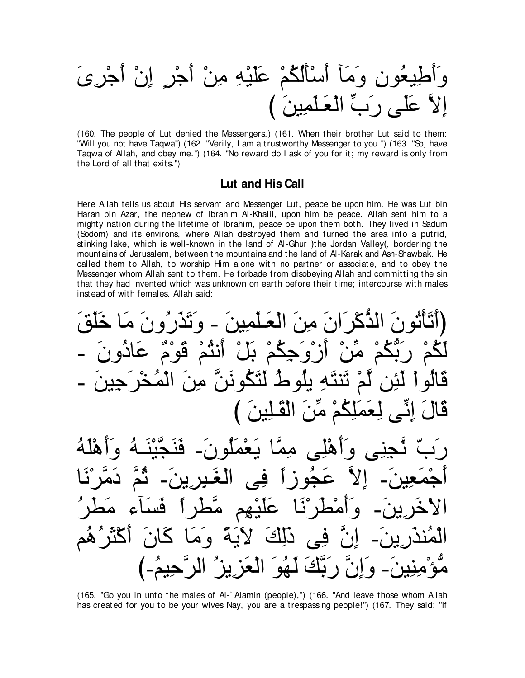(160. The people of Lut denied the Messengers.) (161. When their brother Lut said to them: "Will you not have Taqwa") (162. "Verily, I am a trustworthy Messenger to you.") (163. "So, have Taqwa of Allah, and obey me.") (164. "No reward do I ask of you for it; my reward is only from the Lord of all that exits.")

## Lut and His Call

Here Allah tells us about His servant and Messenger Lut, peace be upon him. He was Lut bin Haran bin Azar, the nephew of Ibrahim Al-Khalil, upon him be peace. Allah sent him to a mighty nation during the lifetime of Ibrahim, peace be upon them both. They lived in Sadum (Sodom) and its environs, where Allah destroyed them and turned the area into a putrid, stinking lake, which is well-known in the land of Al-Ghur )the Jordan Valley(, bordering the mountains of Jerusalem, between the mountains and the land of Al-Karak and Ash-Shawbak. He called them to Allah, to worship Him alone with no partner or associate, and to obey the Messenger whom Allah sent to them. He forbade from disobeying Allah and committing the sin that they had invented which was unknown on earth before their time; intercourse with males instead of with females. Allah said:

(أتَأثُورَ الَدُكَرَانَ مِنَ الَعَلَمِينَ - وَتَذَرُونَ مَا خَلَقَ –  
لَكُمُ رَبُّكُمُ مَّنُ أَزُوَجِكُمُ بَلُ أَنُتُمُ وَوُمُ عَادُونَ – – وَتَدَرَ جِينَ – وَاَهُلَو اَلَّوِ نَنَّ مِنَ الَمُخُرَ جِينَ – وَاَهُلَهُ
$$
...
$$
وَابَهَ لَعَمَلَونَ– قَنَجَّيَنَـهُ وَأَهُلَهُ وَنَّهَ وَنَّهَلَّهُ وَنَّهَ وَنَّهَ وَنَّهَ وَنَّهَ وَنَّهَ وَنَّهَ وَنَّهَ وَنَّهَ وَنَّهَ وَنَّهَ وَنَّهَ وَنَّهَ وَنَّهَ وَنَّهَ وَنَّهَ وَنَّهَ وَنَّهَ وَنَّهَ وَنَّهَ وَنَّهَ وَنَّهَ وَنَّهَ وَنَّهَ وَنَّهَ وَنَّهَ وَنَّهَ وَنَّهَ وَنَّهَ وَنَّهَ وَنَّهَ وَنَهَ وَنَهَ وَنَهَ وَنَهَ وَنَهَ وَنَهَ وَنَهَ وَنَّهَ وَنَهَ وَنَهَ وَنَهَ وَنَهَ وَنَهَ وَنَهَ وَنَهَ وَنَهَ وَنَهَ وَنَهَ وَنَهَ وَنَهَ وَنَهَ وَنَهَ وَنَهَ وَنَهَ وَنَهَ وَنَهَ

دَلِكَ يُوَ الْعِزْبِزُ

(165. "Go you in unto the males of Al-`Alamin (people),") (166. "And leave those whom Allah has created for you to be your wives Nay, you are a trespassing people!") (167. They said: "If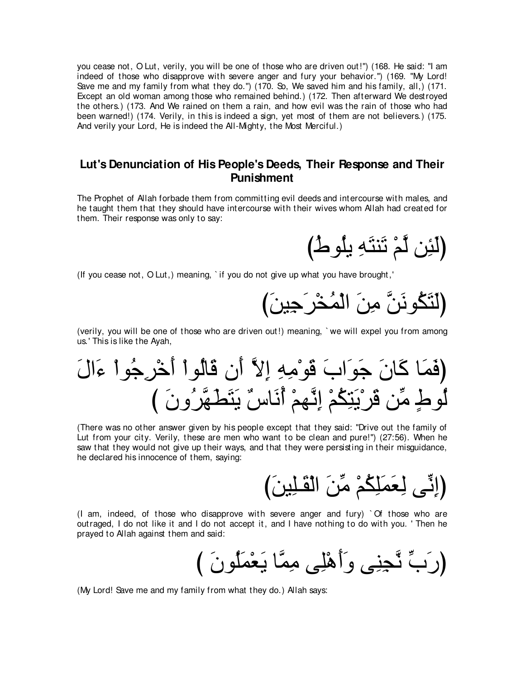you cease not, O Lut, verily, you will be one of those who are driven out!'') (168. He said: "I am indeed of those who disapprove with severe anger and fury your behavior.'') (169. "My Lord! Save me and my family from what they do.") (170. So, We saved him and his family, all,) (171. Except an old woman among those who remained behind.) (172. Then afterward We destroyed the others.) (173. And We rained on them a rain, and how evil was the rain of those who had been warned!) (174. Verily, in this is indeed a sign, yet most of them are not believers.) (175. And verily your Lord, He is indeed the All-Mighty, the Most Merciful.)

## **Lut's Denunciation of His People's Deeds, Their Response and Their Punishment**

The Prophet of Allah forbade them from committing evil deeds and intercourse with males, and he taught them that they should have intercourse with their wives whom Allah had created for them. Their response was only to say:

(لَئِن لَّمْ تَنتَهِ يِلُوطُ)

(If you cease not, O Lut,) meaning, ` if you do not give up what you have brought,'

び∠リΒ⌒ィ∠ゲ∇ガ⊥ヨ∇ャや ∠リ⌒ョ zリ∠ルヲ⊥ム∠わ∠ャぴ

(verily, you will be one of those who are driven out!) meaning, ` we will expel you from among us.' This is like the Ayah,

∠メや∠¬ ∇やヲ⊥ィ⌒ゲ∇カ∠ぺ ∇やヲ⊥ャゅ∠ホ ラ∠ぺ zΙ⌒ま ⌒ヮ⌒ョ∇ヲ∠ホ ∠ゆや∠ヲ∠ィ ∠ラゅ∠ミ ゅ∠ヨ∠プぴ び ∠ラヱ⊥ゲzヰ∠ト∠わ∠Α ∀サゅ∠ル⊥ぺ ∇ユヰzル⌒ま ∇ユ⊥ム⌒わ∠Α∇ゲ∠ホ リあョ ∃ヅヲ⊥ャ

(There was no other answer given by his people except that they said: "Drive out the family of Lut from your city. Verily, these are men who want to be clean and pure!'') (27:56). When he saw that they would not give up their ways, and that they were persisting in their misguidance, he declared his innocence of them, saying:

び∠リΒ⌒ヤ⇒∠ボ∇ャや ∠リあョ ∇ユ⊥ム⌒ヤ∠ヨ∠バ⌒ャ ヴあル⌒まぴ

(I am, indeed, of those who disapprove with severe anger and fury) ` Of those who are outraged, I do not like it and I do not accept it, and I have nothing to do with you. ' Then he prayed to Allah against them and said:

び ∠ラヲ⊥ヤ∠ヨ∇バ∠Α ゅzヨ⌒ョ ヴ⌒ヤ∇ワ∠ぺ∠ヱ ヴ⌒レ⌒イzル あゆ∠ケぴ

(My Lord! Save me and my family from what they do.) Allah says: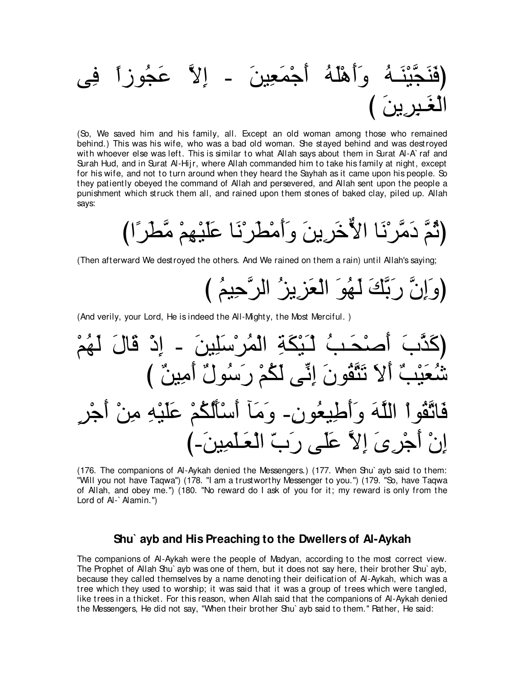ヴ⌒プ ⇔やコヲ⊥イ∠ハ zΙ⌒ま - ∠リΒ⌒バ∠ヨ∇ィ∠ぺ ⊥ヮ∠ヤ∇ワ∠ぺ∠ヱ ⊥ヮ⇒∠レ∇Βzイ∠レ∠プぴ び ∠リΑ⌒ゲ⌒ら⇒∠ピ∇ャや

(So, We saved him and his family, all. Except an old woman among those who remained behind.) This was his wife, who was a bad old woman. She stayed behind and was destroyed with whoever else was left. This is similar to what Allah says about them in Surat Al-A` raf and Surah Hud, and in Surat Al-Hijr, where Allah commanded him to take his family at night, except for his wife, and not to turn around when they heard the Sayhah as it came upon his people. So they patiently obeyed the command of Allah and persevered, and Allah sent upon the people a punishment which struck them all, and rained upon them stones of baked clay, piled up. Allah says:

びや⇔ゲ∠トzョ ∇ユ⌒ヰ∇Β∠ヤ∠ハ ゅ∠ル∇ゲ∠ト∇ョ∠ぺ∠ヱ ∠リΑ⌒ゲ∠カxΙや ゅ∠ル∇ゲzョ∠キ zユ⊥をぴ

(Then afterward We destroyed the others. And We rained on them a rain) until Allah's saying;

び ⊥ユΒ⌒ェzゲャや ⊥ゴΑ⌒ゴ∠バ∇ャや ∠ヲ⊥ヰ∠ャ ∠マzよ∠ケ zラ⌒ま∠ヱぴ

(And verily, your Lord, He is indeed the All-Mighty, the Most Merciful. )

∇ユ⊥ヰ∠ャ ∠メゅ∠ホ ∇ク⌒ま - ∠リΒ⌒ヤ∠シ∇ゲ⊥ヨ∇ャや ⌒る∠ム∇Β∠⇒∇ャ ⊥ょ⇒∠エ∇タ∠ぺ ∠ゆzグ∠ミぴ び ∀リΒ⌒ョ∠ぺ ∀メヲ⊥シ∠ケ ∇ユ⊥ム∠ャ ヴあル⌒ま ∠ラヲ⊥ボzわ∠ゎ ∠Ι∠ぺ ∀ょ∇Β∠バ⊥セ ∃ゲ∇ィ∠ぺ ∇リ⌒ョ ⌒ヮ∇Β∠ヤ∠ハ ∇ユ⊥ム⊥ャ∠ほ∇シ∠ぺ べ∠ョ∠ヱ -⌒ラヲ⊥バΒ⌒デ∠ぺ∠ヱ ∠ヮzヤャや ∇やヲ⊥ボzゎゅ∠プ び-∠リΒ⌒ヨ∠ヤ⇒∠バ∇ャや ∂ゆ∠ケ ヴ∠ヤ∠ハ zΙ⌒ま ∠ン⌒ゲ∇ィ∠ぺ ∇ラ⌒ま

(176. The companions of Al-Aykah denied the Messengers.) (177. When Shu` ayb said to them: "Will you not have Taqwa'') (178. "I am a trustworthy Messenger to you.'') (179. "So, have Taqwa of Allah, and obey me.'') (180. "No reward do I ask of you for it; my reward is only from the Lord of Al-` Alamin.'')

#### **Shu` ayb and His Preaching to the Dwellers of Al-Aykah**

The companions of Al-Aykah were the people of Madyan, according to the most correct view. The Prophet of Allah Shu` ayb was one of them, but it does not say here, their brother Shu` ayb, because they called themselves by a name denoting their deification of Al-Aykah, which was a tree which they used to worship; it was said that it was a group of trees which were tangled, like trees in a thicket. For this reason, when Allah said that the companions of Al-Aykah denied the Messengers, He did not say, "When their brother Shu` ayb said to them.'' Rather, He said: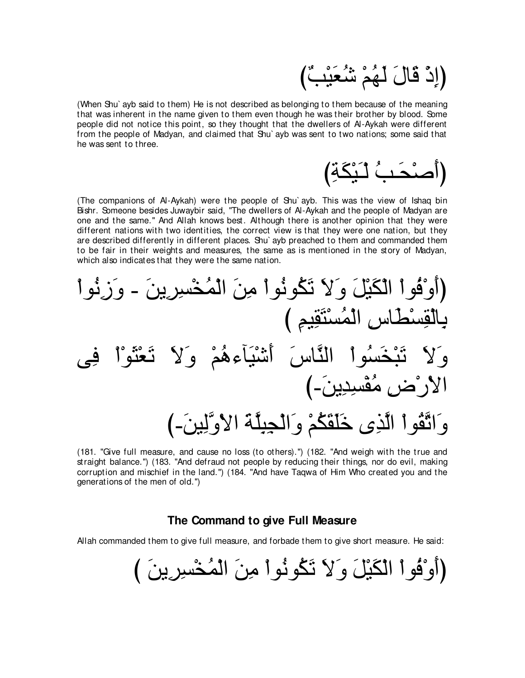# (إِذْ قَالَ لَهُمْ شُعَيْبٌ)

(When Shu` ayb said to them) He is not described as belonging to them because of the meaning that was inherent in the name given to them even though he was their brother by blood. Some people did not notice this point, so they thought that the dwellers of Al-Aykah were different from the people of Madyan, and claimed that Shu` ayb was sent to two nations; some said that he was sent to three.

び⌒る∠ム∇Β∠⇒∇ャ ⊥ょ⇒∠エ∇タ∠ぺぴ

(The companions of Al-Aykah) were the people of Shu` ayb. This was the view of Ishaq bin Bishr. Someone besides Juwaybir said, "The dwellers of Al-Aykah and the people of Madyan are one and the same.'' And Allah knows best. Although there is another opinion that they were different nations with two identities, the correct view is that they were one nation, but they are described differently in different places. Shu` ayb preached to them and commanded them to be fair in their weights and measures, the same as is mentioned in the story of Madyan, which also indicates that they were the same nation.

∇やヲ⊥ル⌒コ∠ヱ - ∠リΑ⌒ゲ⌒ジ∇ガ⊥ヨ∇ャや ∠リ⌒ョ ∇やヲ⊥ルヲ⊥ム∠ゎ ∠Ι∠ヱ ∠モ∇Β∠ム∇ャや ∇やヲ⊥プ∇ヱ∠ぺぴ び ⌒ユΒ⌒ボ∠わ∇ジ⊥ヨ∇ャや ⌒サゅ∠ト∇ジ⌒ボ∇ャゅ⌒よ ヴ⌒プ ∇や∇ヲ∠ん∇バ∠ゎ ∠Ι∠ヱ ∇ユ⊥ワ¬べ∠Β∇セ∠ぺ ∠サゅzレャや ∇やヲ⊥ジ∠ガ∇ら∠ゎ ∠Ι∠ヱ び-∠リΑ⌒ギ⌒ジ∇ヘ⊥ョ ⌒チ∇ケ∇Ιや び-∠リΒ⌒ャzヱ∇Ιや ∠るzヤ⌒ら⌒イ∇ャや∠ヱ ∇ユ⊥ム∠ボ∠ヤ∠カ ン⌒グzャや ∇やヲ⊥ボzゎや∠ヱ

(181. "Give full measure, and cause no loss (to others).'') (182. "And weigh with the true and straight balance.'') (183. "And defraud not people by reducing their things, nor do evil, making corruption and mischief in the land.'') (184. "And have Taqwa of Him Who created you and the generations of the men of old.'')

### **The Command to give Full Measure**

Allah commanded them to give full measure, and forbade them to give short measure. He said:

び ∠リΑ⌒ゲ⌒ジ∇ガ⊥ヨ∇ャや ∠リ⌒ョ ∇やヲ⊥ルヲ⊥ム∠ゎ ∠Ι∠ヱ ∠モ∇Β∠ム∇ャや ∇やヲ⊥プ∇ヱ∠ぺぴ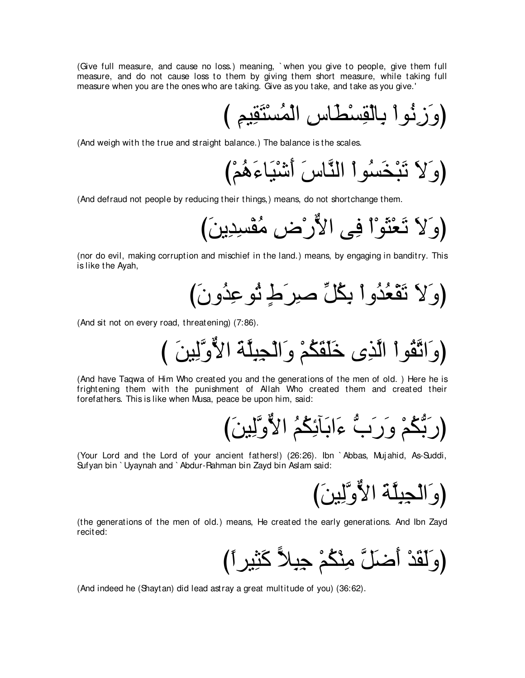(Give full measure, and cause no loss.) meaning, ` when you give to people, give them full measure, and do not cause loss to them by giving them short measure, while taking full measure when you are the ones who are taking. Give as you take, and take as you give.'

び ⌒ユΒ⌒ボ∠わ∇ジ⊥ヨ∇ャや ⌒サゅ∠ト∇ジ⌒ボ∇ャゅ⌒よ ∇やヲ⊥ル⌒コ∠ヱぴ

(And weigh with the true and straight balance.) The balance is the scales.

び∇ユ⊥ワ∠¬ゅ∠Β∇セ∠ぺ ∠サゅzレャや ∇やヲ⊥ジ∠ガ∇ら∠ゎ ∠Ι∠ヱぴ

(And defraud not people by reducing their things,) means, do not shortchange them.

び∠リΑ⌒ギ⌒ジ∇ヘ⊥ョ ⌒チ∇ケxΙや ヴ⌒プ ∇や∇ヲ∠ん∇バ∠ゎ ∠Ι∠ヱぴ

(nor do evil, making corruption and mischief in the land.) means, by engaging in banditry. This is like the Ayah,

び∠ラヱ⊥ギ⌒ハヲ⊥ゎ ∃ヅ∠ゲ⌒タ あモ⊥ム⌒よ ∇やヱ⊥ギ⊥バ∇ボ∠ゎ ∠Ι∠ヱぴ

(And sit not on every road, threatening) (7:86).

び ∠リΒ⌒ャzヱxΙや ∠るzヤ⌒ら⌒イ∇ャや∠ヱ ∇ユ⊥ム∠ボ∠ヤ∠カ ン⌒グzャや ∇やヲ⊥ボzゎや∠ヱぴ

(And have Taqwa of Him Who created you and the generations of the men of old. ) Here he is frightening them with the punishment of Allah Who created them and created their forefathers. This is like when Musa, peace be upon him, said:

び∠リΒ⌒ャzヱxΙや ⊥ユ⊥ム⌒もべ∠よや∠¬ ぁゆ∠ケ∠ヱ ∇ユ⊥ムぁよ∠ケぴ

(Your Lord and the Lord of your ancient fathers!) (26:26). Ibn ` Abbas, Muj ahid, As-Suddi, Sufyan bin ` Uyaynah and ` Abdur-Rahman bin Zayd bin Aslam said:

び∠リΒ⌒ャzヱxΙや ∠るzヤ⌒ら⌒イ∇ャや∠ヱぴ

(the generations of the men of old.) means, He created the early generations. And Ibn Zayd recited:

び⇔やゲΒ⌒ん∠ミ 6Κ⌒ら⌒ィ ∇ユ⊥ム∇レ⌒ョ zモ∠ッ∠ぺ ∇ギ∠ボ∠ャ∠ヱぴ

(And indeed he (Shaytan) did lead astray a great multitude of you) (36:62).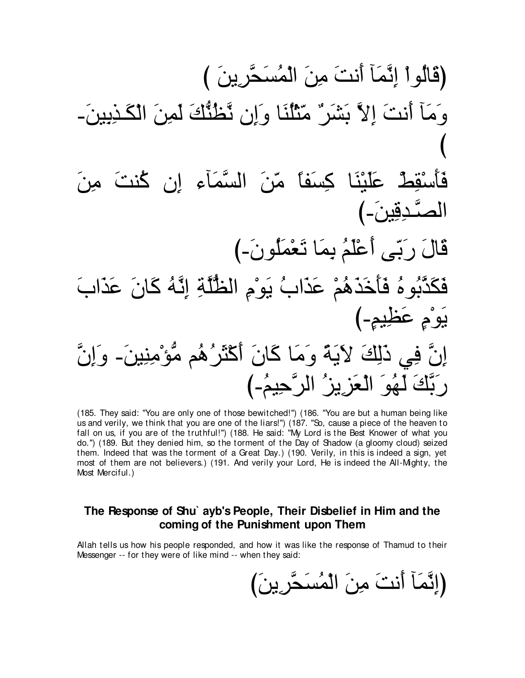(185. They said: "You are only one of those bewitched!") (186. "You are but a human being like us and verily, we think that you are one of the liars!") (187. "So, cause a piece of the heaven to fall on us, if you are of the truthful!") (188. He said: "My Lord is the Best Knower of what you do.") (189. But they denied him, so the torment of the Day of Shadow (a gloomy cloud) seized them. Indeed that was the torment of a Great Day.) (190. Verily, in this is indeed a sign, yet most of them are not believers.) (191. And verily your Lord, He is indeed the All-Mighty, the Most Merciful.)

# The Response of Shu` ayb's People, Their Disbelief in Him and the coming of the Punishment upon Them

Allah tells us how his people responded, and how it was like the response of Thamud to their Messenger -- for they were of like mind -- when they said:

(إِنَّمَاۤ أَنتَ مِنَ الْمُسَحَّرِينَ)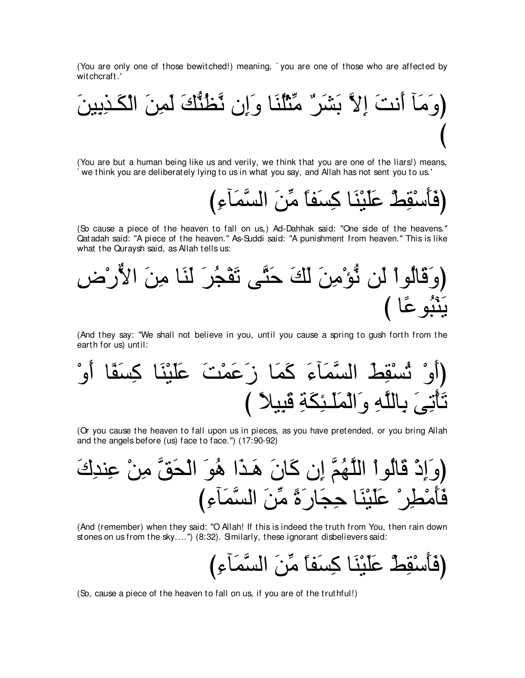(You are only one of those bewitched!) meaning, ` you are one of those who are affected by witchcraft.'



(You are but a human being like us and verily, we think that you are one of the liars!) means, ` we think you are deliberately lying to us in what you say, and Allah has not sent you to us.'

び⌒¬べ∠ヨzジャや ∠リあョ ⇔ゅヘ∠ジ⌒ミ ゅ∠レ∇Β∠ヤ∠ハ ∇テ⌒ボ∇シ∠ほ∠プぴ

(So cause a piece of the heaven to fall on us,) Ad-Dahhak said: "One side of the heavens.'' Qatadah said: "A piece of the heaven.'' As-Suddi said: "A punishment from heaven.'' This is like what the Quraysh said, as Allah tells us:



(And they say: "We shall not believe in you, until you cause a spring to gush forth from the earth for us) until:

(أُوُ تُسُقِطَ السَّمَاَءَ كَمَا زَعَمُتَ عَلَيُئَا كِسَقَا أُوُ
$$
\overline{}
$$
تَعَمَتَ عَلَيُئَا كِسَقَا أُوُ

(Or you cause the heaven to fall upon us in pieces, as you have pretended, or you bring Allah and the angels before (us) face to face.'') (17:90-92)

∠ポ⌒ギレ⌒ハ ∇リ⌒ョ zペ∠エ∇ャや ∠ヲ⊥ワ や∠グ⇒∠ワ ∠ラゅ∠ミ ラ⌒ま zユ⊥ヰzヤャや ∇やヲ⊥ャゅ∠ホ ∇ク⌒ま∠ヱぴ び⌒¬べ∠ヨzジャや ∠リあョ ⇔り∠ケゅ∠イ⌒ェ ゅ∠レ∇Β∠ヤ∠ハ ∇ゲ⌒ト∇ョ∠ほ∠プ

(And (remember) when they said: "O Allah! If this is indeed the truth from You, then rain down stones on us from the sky....") (8:32). Similarly, these ignorant disbelievers said:

び⌒¬べ∠ヨzジャや ∠リあョ ⇔ゅヘ∠ジ⌒ミ ゅ∠レ∇Β∠ヤ∠ハ ∇テ⌒ボ∇シ∠ほ∠プぴ

(So, cause a piece of the heaven to fall on us, if you are of the truthful!)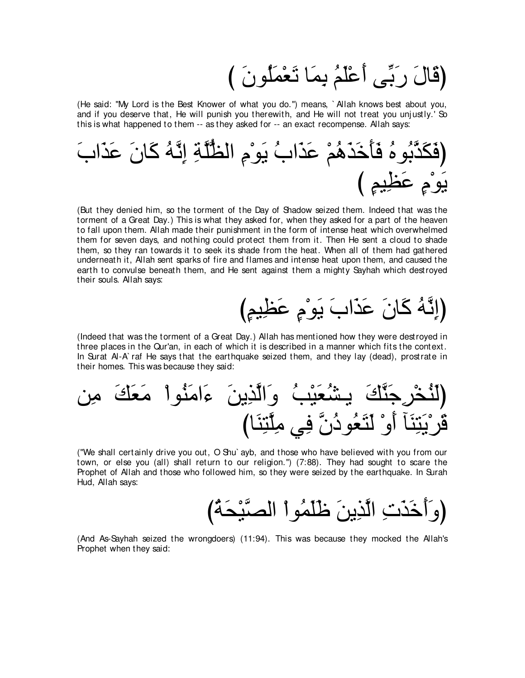び ∠ラヲ⊥ヤ∠ヨ∇バ∠ゎ ゅ∠ヨ⌒よ ⊥ユ∠ヤ∇ハ∠ぺ ヴあよ∠ケ ∠メゅ∠ホぴ

(He said: "My Lord is the Best Knower of what you do.'') means, ` Allah knows best about you, and if you deserve that, He will punish you therewith, and He will not treat you unjustly.' So this is what happened to them -- as they asked for -- an exact recompense. Allah says:

∠ゆや∠グ∠ハ ∠ラゅ∠ミ ⊥ヮzル⌒ま ⌒るzヤぁヌャや ⌒ュ∇ヲ∠Α ⊥ゆや∠グ∠ハ ∇ユ⊥ワ∠グ∠カ∠ほ∠プ ⊥ロヲ⊥よzグ∠ム∠プぴ び ∃ユΒ⌒ヌ∠ハ ∃ュ∇ヲ∠Α

(But they denied him, so the torment of the Day of Shadow seized them. Indeed that was the torment of a Great Day.) This is what they asked for, when they asked for a part of the heaven to fall upon them. Allah made their punishment in the form of intense heat which overwhelmed them for seven days, and nothing could protect them from it. Then He sent a cloud to shade them, so they ran towards it to seek its shade from the heat. When all of them had gathered underneath it, Allah sent sparks of fire and flames and intense heat upon them, and caused the earth to convulse beneath them, and He sent against them a mighty Sayhah which destroyed their souls. Allah says:

び∃ユΒ⌒ヌ∠ハ ∃ュ∇ヲ∠Α ∠ゆや∠グ∠ハ ∠ラゅ∠ミ ⊥ヮzル⌒まぴ

(Indeed that was the torment of a Great Day.) Allah has mentioned how they were destroyed in three places in the Qur'an, in each of which it is described in a manner which fits the context. In Surat Al-A` raf He says that the earthquake seized them, and they lay (dead), prostrate in their homes. This was because they said:

リ⌒ョ ∠マ∠バ∠ョ ∇やヲ⊥レ∠ョや∠¬ ∠リΑ⌒グzャや∠ヱ ⊥ょ∇Β∠バ⊥ゼ⇒Α ∠マzレ∠ィ⌒ゲ∇ガ⊥レ∠ャぴ びゅ∠レ⌒わzヤ⌒ョ ヶ⌒プ zラ⊥キヲ⊥バ∠わ∠ャ ∇ヱ∠ぺ べ∠レ⌒わ∠Α∇ゲ∠ホ

("We shall certainly drive you out, O Shu` ayb, and those who have believed with you from our town, or else you (all) shall return to our religion.'') (7:88). They had sought to scare the Prophet of Allah and those who followed him, so they were seized by the earthquake. In Surah Hud, Allah says:

び⊥る∠エ∇Βzダャや ∇やヲ⊥ヨ∠ヤ∠ニ ∠リΑ⌒グzャや ⌒れ∠グ∠カ∠ぺ∠ヱぴ

(And As-Sayhah seized the wrongdoers) (11:94). This was because they mocked the Allah's Prophet when they said: